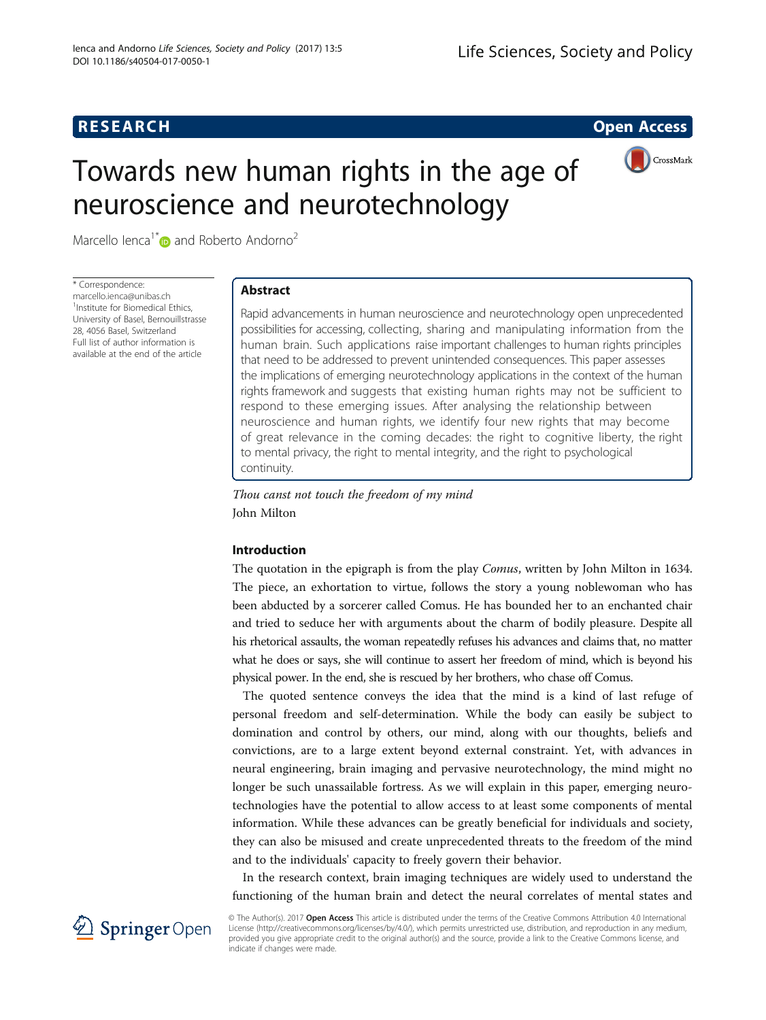## **RESEARCH RESEARCH CONSUMING ACCESS**



# Towards new human rights in the age of neuroscience and neurotechnology

Marcello Ienca<sup>1\*</sup> and Roberto Andorno<sup>2</sup>

\* Correspondence: [marcello.ienca@unibas.ch](mailto:marcello.ienca@unibas.ch) <sup>1</sup>Institute for Biomedical Ethics, University of Basel, Bernouillstrasse 28, 4056 Basel, Switzerland Full list of author information is available at the end of the article

### Abstract

Rapid advancements in human neuroscience and neurotechnology open unprecedented possibilities for accessing, collecting, sharing and manipulating information from the human brain. Such applications raise important challenges to human rights principles that need to be addressed to prevent unintended consequences. This paper assesses the implications of emerging neurotechnology applications in the context of the human rights framework and suggests that existing human rights may not be sufficient to respond to these emerging issues. After analysing the relationship between neuroscience and human rights, we identify four new rights that may become of great relevance in the coming decades: the right to cognitive liberty, the right to mental privacy, the right to mental integrity, and the right to psychological continuity.

Thou canst not touch the freedom of my mind John Milton

### Introduction

The quotation in the epigraph is from the play Comus, written by John Milton in 1634. The piece, an exhortation to virtue, follows the story a young noblewoman who has been abducted by a sorcerer called Comus. He has bounded her to an enchanted chair and tried to seduce her with arguments about the charm of bodily pleasure. Despite all his rhetorical assaults, the woman repeatedly refuses his advances and claims that, no matter what he does or says, she will continue to assert her freedom of mind, which is beyond his physical power. In the end, she is rescued by her brothers, who chase off Comus.

The quoted sentence conveys the idea that the mind is a kind of last refuge of personal freedom and self-determination. While the body can easily be subject to domination and control by others, our mind, along with our thoughts, beliefs and convictions, are to a large extent beyond external constraint. Yet, with advances in neural engineering, brain imaging and pervasive neurotechnology, the mind might no longer be such unassailable fortress. As we will explain in this paper, emerging neurotechnologies have the potential to allow access to at least some components of mental information. While these advances can be greatly beneficial for individuals and society, they can also be misused and create unprecedented threats to the freedom of the mind and to the individuals' capacity to freely govern their behavior.

In the research context, brain imaging techniques are widely used to understand the functioning of the human brain and detect the neural correlates of mental states and



© The Author(s). 2017 Open Access This article is distributed under the terms of the Creative Commons Attribution 4.0 International License [\(http://creativecommons.org/licenses/by/4.0/](http://creativecommons.org/licenses/by/4.0/)), which permits unrestricted use, distribution, and reproduction in any medium, provided you give appropriate credit to the original author(s) and the source, provide a link to the Creative Commons license, and indicate if changes were made.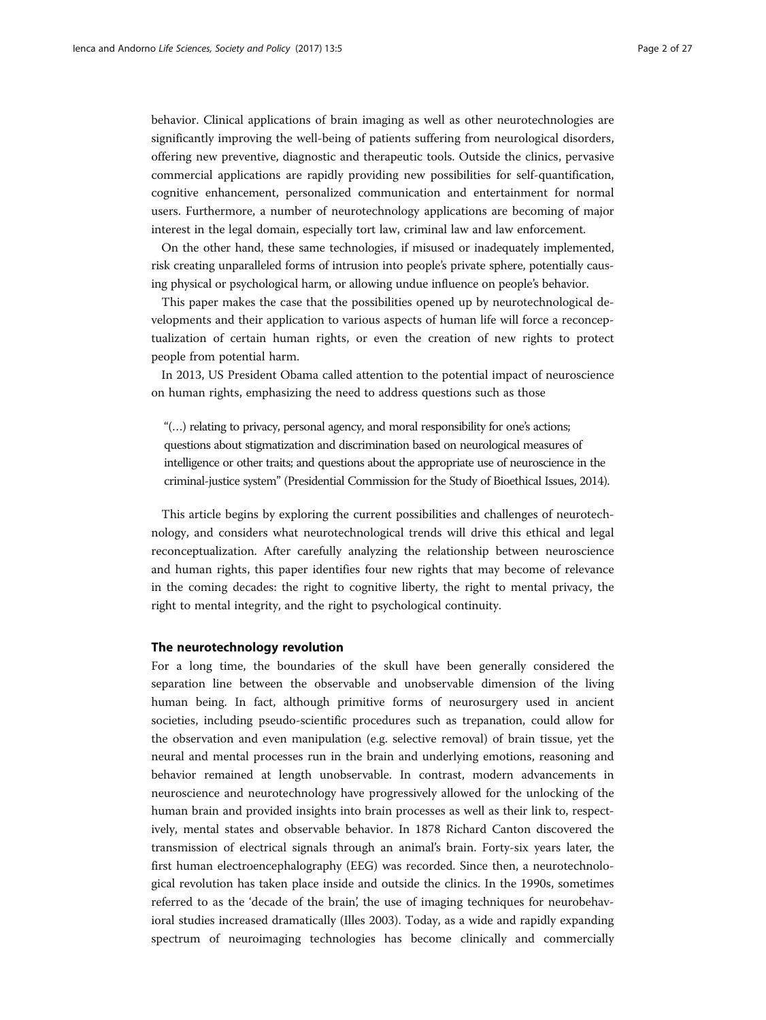behavior. Clinical applications of brain imaging as well as other neurotechnologies are significantly improving the well-being of patients suffering from neurological disorders, offering new preventive, diagnostic and therapeutic tools. Outside the clinics, pervasive commercial applications are rapidly providing new possibilities for self-quantification, cognitive enhancement, personalized communication and entertainment for normal users. Furthermore, a number of neurotechnology applications are becoming of major interest in the legal domain, especially tort law, criminal law and law enforcement.

On the other hand, these same technologies, if misused or inadequately implemented, risk creating unparalleled forms of intrusion into people's private sphere, potentially causing physical or psychological harm, or allowing undue influence on people's behavior.

This paper makes the case that the possibilities opened up by neurotechnological developments and their application to various aspects of human life will force a reconceptualization of certain human rights, or even the creation of new rights to protect people from potential harm.

In 2013, US President Obama called attention to the potential impact of neuroscience on human rights, emphasizing the need to address questions such as those

"(…) relating to privacy, personal agency, and moral responsibility for one's actions; questions about stigmatization and discrimination based on neurological measures of intelligence or other traits; and questions about the appropriate use of neuroscience in the criminal-justice system" (Presidential Commission for the Study of Bioethical Issues, [2014](#page-25-0)).

This article begins by exploring the current possibilities and challenges of neurotechnology, and considers what neurotechnological trends will drive this ethical and legal reconceptualization. After carefully analyzing the relationship between neuroscience and human rights, this paper identifies four new rights that may become of relevance in the coming decades: the right to cognitive liberty, the right to mental privacy, the right to mental integrity, and the right to psychological continuity.

### The neurotechnology revolution

For a long time, the boundaries of the skull have been generally considered the separation line between the observable and unobservable dimension of the living human being. In fact, although primitive forms of neurosurgery used in ancient societies, including pseudo-scientific procedures such as trepanation, could allow for the observation and even manipulation (e.g. selective removal) of brain tissue, yet the neural and mental processes run in the brain and underlying emotions, reasoning and behavior remained at length unobservable. In contrast, modern advancements in neuroscience and neurotechnology have progressively allowed for the unlocking of the human brain and provided insights into brain processes as well as their link to, respectively, mental states and observable behavior. In 1878 Richard Canton discovered the transmission of electrical signals through an animal's brain. Forty-six years later, the first human electroencephalography (EEG) was recorded. Since then, a neurotechnological revolution has taken place inside and outside the clinics. In the 1990s, sometimes referred to as the 'decade of the brain', the use of imaging techniques for neurobehavioral studies increased dramatically (Illes [2003\)](#page-25-0). Today, as a wide and rapidly expanding spectrum of neuroimaging technologies has become clinically and commercially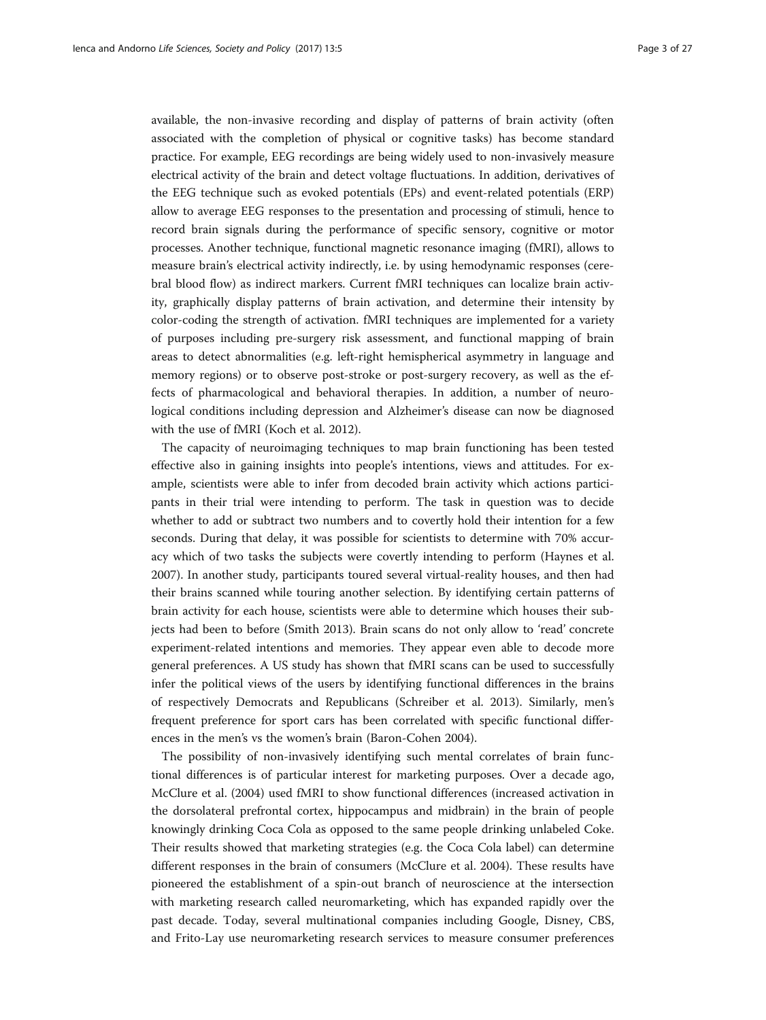available, the non-invasive recording and display of patterns of brain activity (often associated with the completion of physical or cognitive tasks) has become standard practice. For example, EEG recordings are being widely used to non-invasively measure electrical activity of the brain and detect voltage fluctuations. In addition, derivatives of the EEG technique such as evoked potentials (EPs) and event-related potentials (ERP) allow to average EEG responses to the presentation and processing of stimuli, hence to record brain signals during the performance of specific sensory, cognitive or motor processes. Another technique, functional magnetic resonance imaging (fMRI), allows to measure brain's electrical activity indirectly, i.e. by using hemodynamic responses (cerebral blood flow) as indirect markers. Current fMRI techniques can localize brain activity, graphically display patterns of brain activation, and determine their intensity by color-coding the strength of activation. fMRI techniques are implemented for a variety of purposes including pre-surgery risk assessment, and functional mapping of brain areas to detect abnormalities (e.g. left-right hemispherical asymmetry in language and memory regions) or to observe post-stroke or post-surgery recovery, as well as the effects of pharmacological and behavioral therapies. In addition, a number of neurological conditions including depression and Alzheimer's disease can now be diagnosed with the use of fMRI (Koch et al. [2012\)](#page-25-0).

The capacity of neuroimaging techniques to map brain functioning has been tested effective also in gaining insights into people's intentions, views and attitudes. For example, scientists were able to infer from decoded brain activity which actions participants in their trial were intending to perform. The task in question was to decide whether to add or subtract two numbers and to covertly hold their intention for a few seconds. During that delay, it was possible for scientists to determine with 70% accuracy which of two tasks the subjects were covertly intending to perform (Haynes et al. [2007](#page-25-0)). In another study, participants toured several virtual-reality houses, and then had their brains scanned while touring another selection. By identifying certain patterns of brain activity for each house, scientists were able to determine which houses their subjects had been to before (Smith [2013](#page-26-0)). Brain scans do not only allow to 'read' concrete experiment-related intentions and memories. They appear even able to decode more general preferences. A US study has shown that fMRI scans can be used to successfully infer the political views of the users by identifying functional differences in the brains of respectively Democrats and Republicans (Schreiber et al. [2013\)](#page-26-0). Similarly, men's frequent preference for sport cars has been correlated with specific functional differences in the men's vs the women's brain (Baron-Cohen [2004\)](#page-25-0).

The possibility of non-invasively identifying such mental correlates of brain functional differences is of particular interest for marketing purposes. Over a decade ago, McClure et al. ([2004\)](#page-26-0) used fMRI to show functional differences (increased activation in the dorsolateral prefrontal cortex, hippocampus and midbrain) in the brain of people knowingly drinking Coca Cola as opposed to the same people drinking unlabeled Coke. Their results showed that marketing strategies (e.g. the Coca Cola label) can determine different responses in the brain of consumers (McClure et al. [2004](#page-26-0)). These results have pioneered the establishment of a spin-out branch of neuroscience at the intersection with marketing research called neuromarketing, which has expanded rapidly over the past decade. Today, several multinational companies including Google, Disney, CBS, and Frito-Lay use neuromarketing research services to measure consumer preferences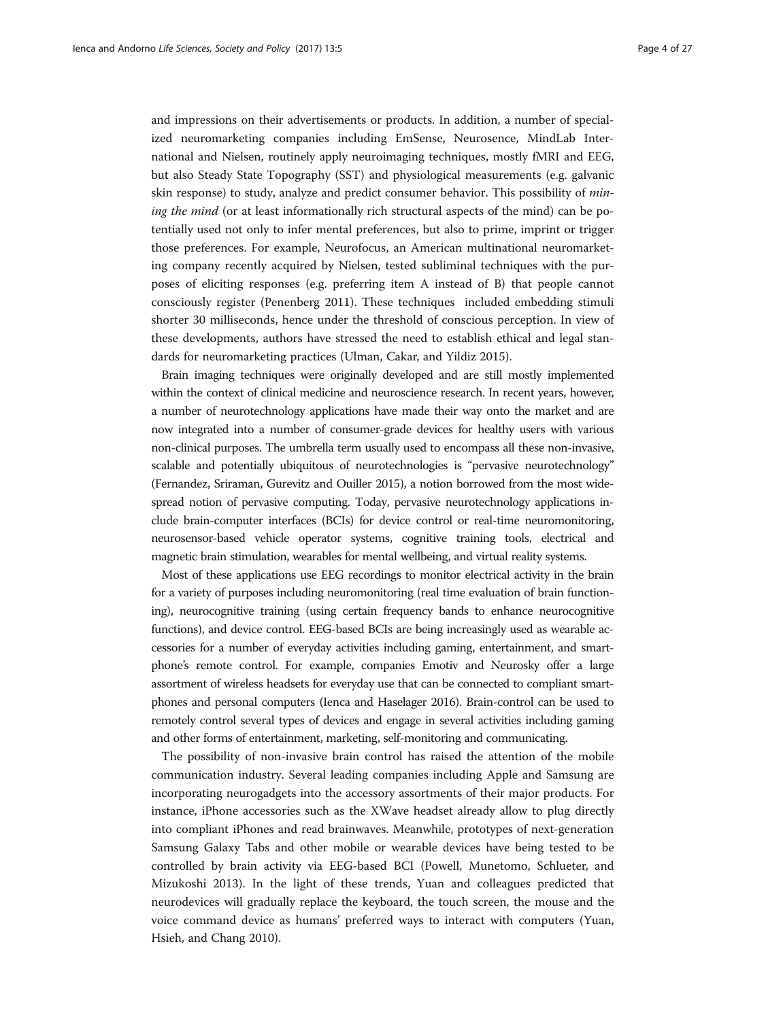and impressions on their advertisements or products. In addition, a number of specialized neuromarketing companies including EmSense, Neurosence, MindLab International and Nielsen, routinely apply neuroimaging techniques, mostly fMRI and EEG, but also Steady State Topography (SST) and physiological measurements (e.g. galvanic skin response) to study, analyze and predict consumer behavior. This possibility of *min*ing the mind (or at least informationally rich structural aspects of the mind) can be potentially used not only to infer mental preferences, but also to prime, imprint or trigger those preferences. For example, Neurofocus, an American multinational neuromarketing company recently acquired by Nielsen, tested subliminal techniques with the purposes of eliciting responses (e.g. preferring item A instead of B) that people cannot consciously register (Penenberg [2011](#page-26-0)). These techniques included embedding stimuli shorter 30 milliseconds, hence under the threshold of conscious perception. In view of these developments, authors have stressed the need to establish ethical and legal standards for neuromarketing practices (Ulman, Cakar, and Yildiz [2015\)](#page-26-0).

Brain imaging techniques were originally developed and are still mostly implemented within the context of clinical medicine and neuroscience research. In recent years, however, a number of neurotechnology applications have made their way onto the market and are now integrated into a number of consumer-grade devices for healthy users with various non-clinical purposes. The umbrella term usually used to encompass all these non-invasive, scalable and potentially ubiquitous of neurotechnologies is "pervasive neurotechnology" (Fernandez, Sriraman, Gurevitz and Ouiller [2015](#page-25-0)), a notion borrowed from the most widespread notion of pervasive computing. Today, pervasive neurotechnology applications include brain-computer interfaces (BCIs) for device control or real-time neuromonitoring, neurosensor-based vehicle operator systems, cognitive training tools, electrical and magnetic brain stimulation, wearables for mental wellbeing, and virtual reality systems.

Most of these applications use EEG recordings to monitor electrical activity in the brain for a variety of purposes including neuromonitoring (real time evaluation of brain functioning), neurocognitive training (using certain frequency bands to enhance neurocognitive functions), and device control. EEG-based BCIs are being increasingly used as wearable accessories for a number of everyday activities including gaming, entertainment, and smartphone's remote control. For example, companies Emotiv and Neurosky offer a large assortment of wireless headsets for everyday use that can be connected to compliant smartphones and personal computers (Ienca and Haselager [2016](#page-25-0)). Brain-control can be used to remotely control several types of devices and engage in several activities including gaming and other forms of entertainment, marketing, self-monitoring and communicating.

The possibility of non-invasive brain control has raised the attention of the mobile communication industry. Several leading companies including Apple and Samsung are incorporating neurogadgets into the accessory assortments of their major products. For instance, iPhone accessories such as the XWave headset already allow to plug directly into compliant iPhones and read brainwaves. Meanwhile, prototypes of next-generation Samsung Galaxy Tabs and other mobile or wearable devices have being tested to be controlled by brain activity via EEG-based BCI (Powell, Munetomo, Schlueter, and Mizukoshi [2013](#page-26-0)). In the light of these trends, Yuan and colleagues predicted that neurodevices will gradually replace the keyboard, the touch screen, the mouse and the voice command device as humans' preferred ways to interact with computers (Yuan, Hsieh, and Chang [2010](#page-26-0)).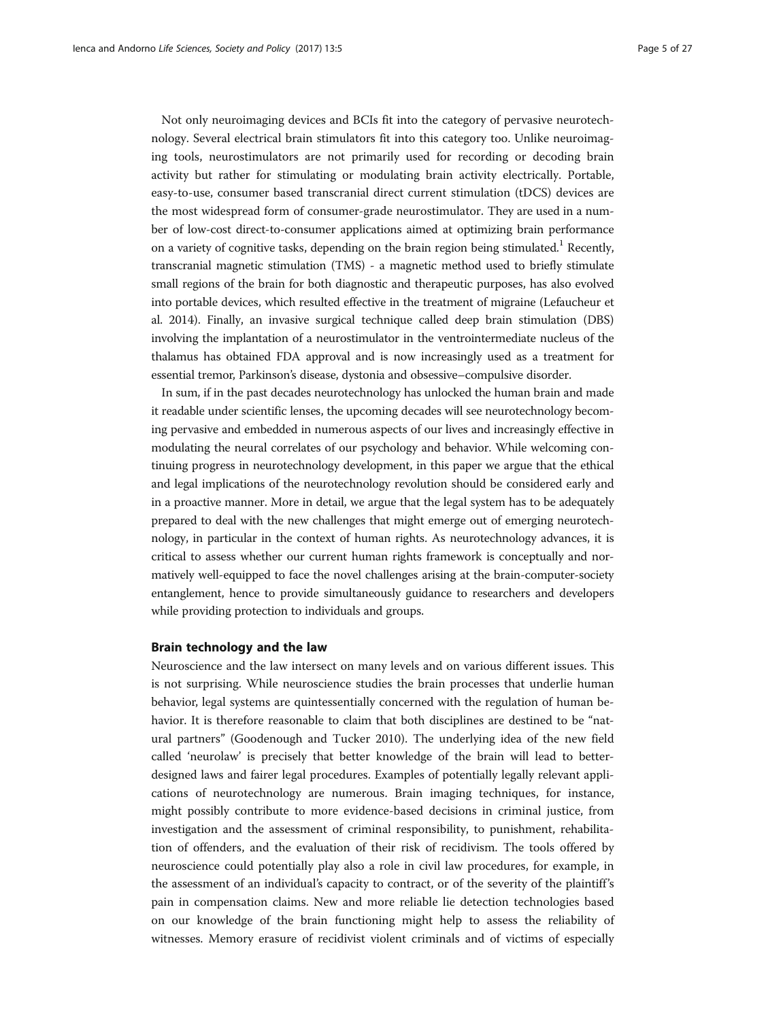Not only neuroimaging devices and BCIs fit into the category of pervasive neurotechnology. Several electrical brain stimulators fit into this category too. Unlike neuroimaging tools, neurostimulators are not primarily used for recording or decoding brain activity but rather for stimulating or modulating brain activity electrically. Portable, easy-to-use, consumer based transcranial direct current stimulation (tDCS) devices are the most widespread form of consumer-grade neurostimulator. They are used in a number of low-cost direct-to-consumer applications aimed at optimizing brain performance on a variety of cognitive tasks, depending on the brain region being stimulated.<sup>1</sup> Recently, transcranial magnetic stimulation (TMS) - a magnetic method used to briefly stimulate small regions of the brain for both diagnostic and therapeutic purposes, has also evolved into portable devices, which resulted effective in the treatment of migraine (Lefaucheur et al. [2014\)](#page-25-0). Finally, an invasive surgical technique called deep brain stimulation (DBS) involving the implantation of a neurostimulator in the ventrointermediate nucleus of the thalamus has obtained FDA approval and is now increasingly used as a treatment for essential tremor, Parkinson's disease, dystonia and obsessive–compulsive disorder.

In sum, if in the past decades neurotechnology has unlocked the human brain and made it readable under scientific lenses, the upcoming decades will see neurotechnology becoming pervasive and embedded in numerous aspects of our lives and increasingly effective in modulating the neural correlates of our psychology and behavior. While welcoming continuing progress in neurotechnology development, in this paper we argue that the ethical and legal implications of the neurotechnology revolution should be considered early and in a proactive manner. More in detail, we argue that the legal system has to be adequately prepared to deal with the new challenges that might emerge out of emerging neurotechnology, in particular in the context of human rights. As neurotechnology advances, it is critical to assess whether our current human rights framework is conceptually and normatively well-equipped to face the novel challenges arising at the brain-computer-society entanglement, hence to provide simultaneously guidance to researchers and developers while providing protection to individuals and groups.

### Brain technology and the law

Neuroscience and the law intersect on many levels and on various different issues. This is not surprising. While neuroscience studies the brain processes that underlie human behavior, legal systems are quintessentially concerned with the regulation of human behavior. It is therefore reasonable to claim that both disciplines are destined to be "natural partners" (Goodenough and Tucker [2010\)](#page-25-0). The underlying idea of the new field called 'neurolaw' is precisely that better knowledge of the brain will lead to betterdesigned laws and fairer legal procedures. Examples of potentially legally relevant applications of neurotechnology are numerous. Brain imaging techniques, for instance, might possibly contribute to more evidence-based decisions in criminal justice, from investigation and the assessment of criminal responsibility, to punishment, rehabilitation of offenders, and the evaluation of their risk of recidivism. The tools offered by neuroscience could potentially play also a role in civil law procedures, for example, in the assessment of an individual's capacity to contract, or of the severity of the plaintiff's pain in compensation claims. New and more reliable lie detection technologies based on our knowledge of the brain functioning might help to assess the reliability of witnesses. Memory erasure of recidivist violent criminals and of victims of especially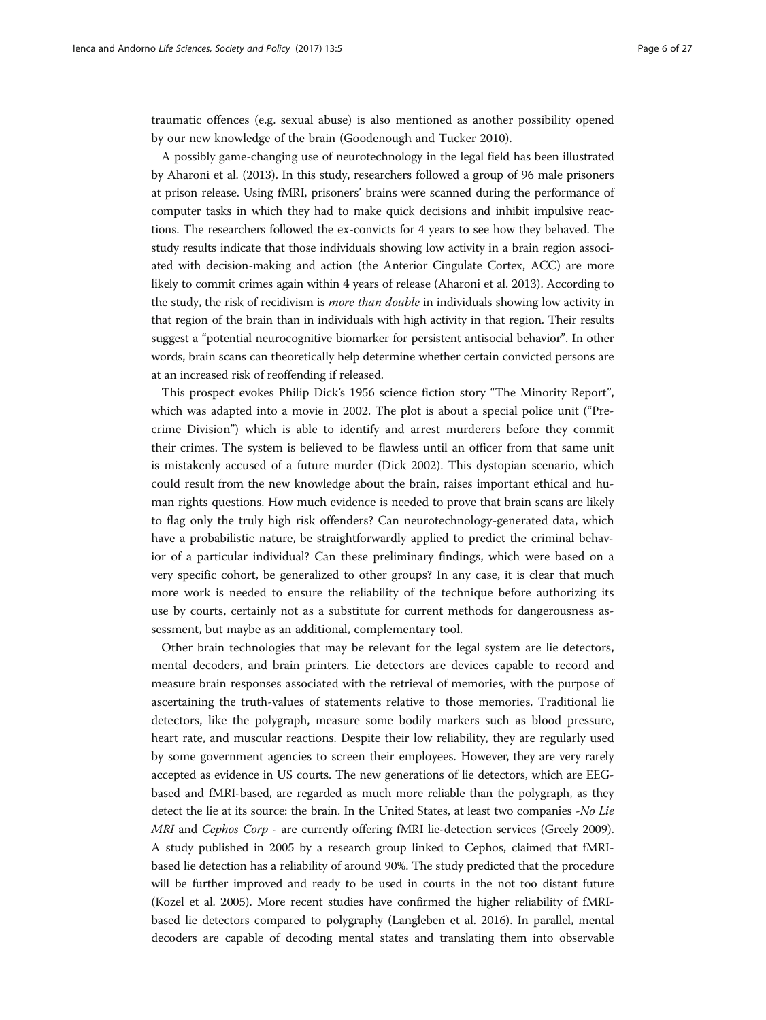traumatic offences (e.g. sexual abuse) is also mentioned as another possibility opened by our new knowledge of the brain (Goodenough and Tucker [2010\)](#page-25-0).

A possibly game-changing use of neurotechnology in the legal field has been illustrated by Aharoni et al. ([2013](#page-24-0)). In this study, researchers followed a group of 96 male prisoners at prison release. Using fMRI, prisoners' brains were scanned during the performance of computer tasks in which they had to make quick decisions and inhibit impulsive reactions. The researchers followed the ex-convicts for 4 years to see how they behaved. The study results indicate that those individuals showing low activity in a brain region associated with decision-making and action (the Anterior Cingulate Cortex, ACC) are more likely to commit crimes again within 4 years of release (Aharoni et al. [2013](#page-24-0)). According to the study, the risk of recidivism is *more than double* in individuals showing low activity in that region of the brain than in individuals with high activity in that region. Their results suggest a "potential neurocognitive biomarker for persistent antisocial behavior". In other words, brain scans can theoretically help determine whether certain convicted persons are at an increased risk of reoffending if released.

This prospect evokes Philip Dick's 1956 science fiction story "The Minority Report", which was adapted into a movie in 2002. The plot is about a special police unit ("Precrime Division") which is able to identify and arrest murderers before they commit their crimes. The system is believed to be flawless until an officer from that same unit is mistakenly accused of a future murder (Dick [2002](#page-25-0)). This dystopian scenario, which could result from the new knowledge about the brain, raises important ethical and human rights questions. How much evidence is needed to prove that brain scans are likely to flag only the truly high risk offenders? Can neurotechnology-generated data, which have a probabilistic nature, be straightforwardly applied to predict the criminal behavior of a particular individual? Can these preliminary findings, which were based on a very specific cohort, be generalized to other groups? In any case, it is clear that much more work is needed to ensure the reliability of the technique before authorizing its use by courts, certainly not as a substitute for current methods for dangerousness assessment, but maybe as an additional, complementary tool.

Other brain technologies that may be relevant for the legal system are lie detectors, mental decoders, and brain printers. Lie detectors are devices capable to record and measure brain responses associated with the retrieval of memories, with the purpose of ascertaining the truth-values of statements relative to those memories. Traditional lie detectors, like the polygraph, measure some bodily markers such as blood pressure, heart rate, and muscular reactions. Despite their low reliability, they are regularly used by some government agencies to screen their employees. However, they are very rarely accepted as evidence in US courts. The new generations of lie detectors, which are EEGbased and fMRI-based, are regarded as much more reliable than the polygraph, as they detect the lie at its source: the brain. In the United States, at least two companies -No Lie MRI and Cephos Corp - are currently offering fMRI lie-detection services (Greely [2009](#page-25-0)). A study published in 2005 by a research group linked to Cephos, claimed that fMRIbased lie detection has a reliability of around 90%. The study predicted that the procedure will be further improved and ready to be used in courts in the not too distant future (Kozel et al. [2005\)](#page-25-0). More recent studies have confirmed the higher reliability of fMRIbased lie detectors compared to polygraphy (Langleben et al. [2016](#page-25-0)). In parallel, mental decoders are capable of decoding mental states and translating them into observable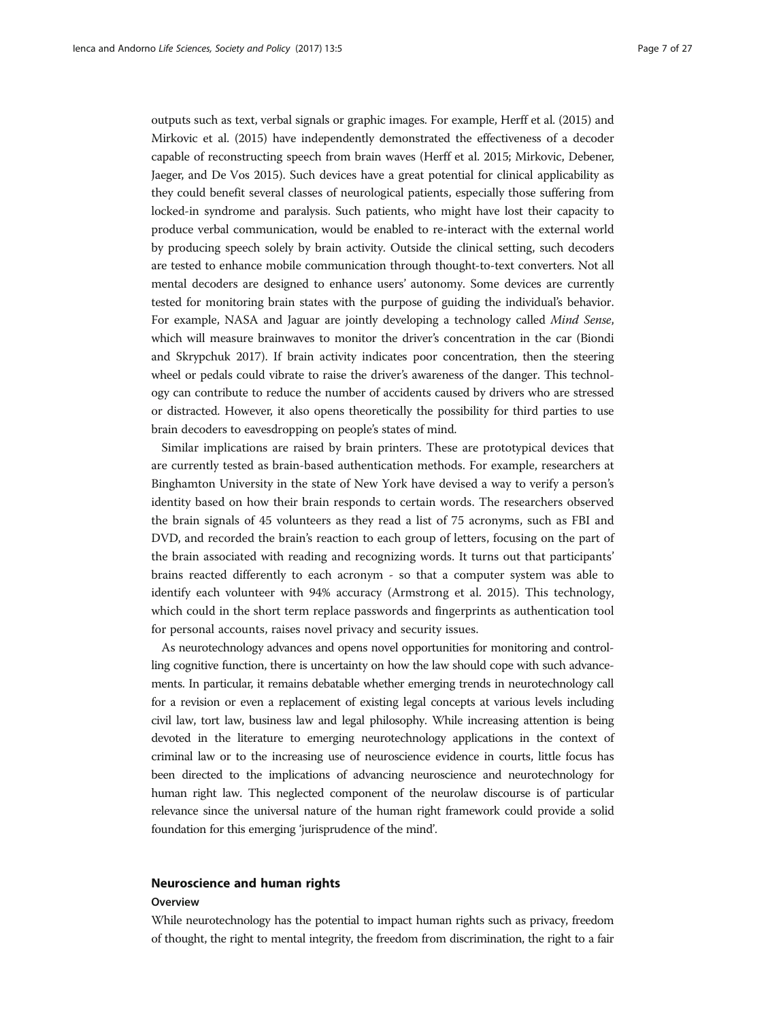outputs such as text, verbal signals or graphic images. For example, Herff et al. ([2015\)](#page-25-0) and Mirkovic et al. ([2015\)](#page-26-0) have independently demonstrated the effectiveness of a decoder capable of reconstructing speech from brain waves (Herff et al. [2015;](#page-25-0) Mirkovic, Debener, Jaeger, and De Vos [2015\)](#page-26-0). Such devices have a great potential for clinical applicability as they could benefit several classes of neurological patients, especially those suffering from locked-in syndrome and paralysis. Such patients, who might have lost their capacity to produce verbal communication, would be enabled to re-interact with the external world by producing speech solely by brain activity. Outside the clinical setting, such decoders are tested to enhance mobile communication through thought-to-text converters. Not all mental decoders are designed to enhance users' autonomy. Some devices are currently tested for monitoring brain states with the purpose of guiding the individual's behavior. For example, NASA and Jaguar are jointly developing a technology called *Mind Sense*, which will measure brainwaves to monitor the driver's concentration in the car (Biondi and Skrypchuk [2017](#page-25-0)). If brain activity indicates poor concentration, then the steering wheel or pedals could vibrate to raise the driver's awareness of the danger. This technology can contribute to reduce the number of accidents caused by drivers who are stressed or distracted. However, it also opens theoretically the possibility for third parties to use brain decoders to eavesdropping on people's states of mind.

Similar implications are raised by brain printers. These are prototypical devices that are currently tested as brain-based authentication methods. For example, researchers at Binghamton University in the state of New York have devised a way to verify a person's identity based on how their brain responds to certain words. The researchers observed the brain signals of 45 volunteers as they read a list of 75 acronyms, such as FBI and DVD, and recorded the brain's reaction to each group of letters, focusing on the part of the brain associated with reading and recognizing words. It turns out that participants' brains reacted differently to each acronym - so that a computer system was able to identify each volunteer with 94% accuracy (Armstrong et al. [2015\)](#page-25-0). This technology, which could in the short term replace passwords and fingerprints as authentication tool for personal accounts, raises novel privacy and security issues.

As neurotechnology advances and opens novel opportunities for monitoring and controlling cognitive function, there is uncertainty on how the law should cope with such advancements. In particular, it remains debatable whether emerging trends in neurotechnology call for a revision or even a replacement of existing legal concepts at various levels including civil law, tort law, business law and legal philosophy. While increasing attention is being devoted in the literature to emerging neurotechnology applications in the context of criminal law or to the increasing use of neuroscience evidence in courts, little focus has been directed to the implications of advancing neuroscience and neurotechnology for human right law. This neglected component of the neurolaw discourse is of particular relevance since the universal nature of the human right framework could provide a solid foundation for this emerging 'jurisprudence of the mind'.

### Neuroscience and human rights

### **Overview**

While neurotechnology has the potential to impact human rights such as privacy, freedom of thought, the right to mental integrity, the freedom from discrimination, the right to a fair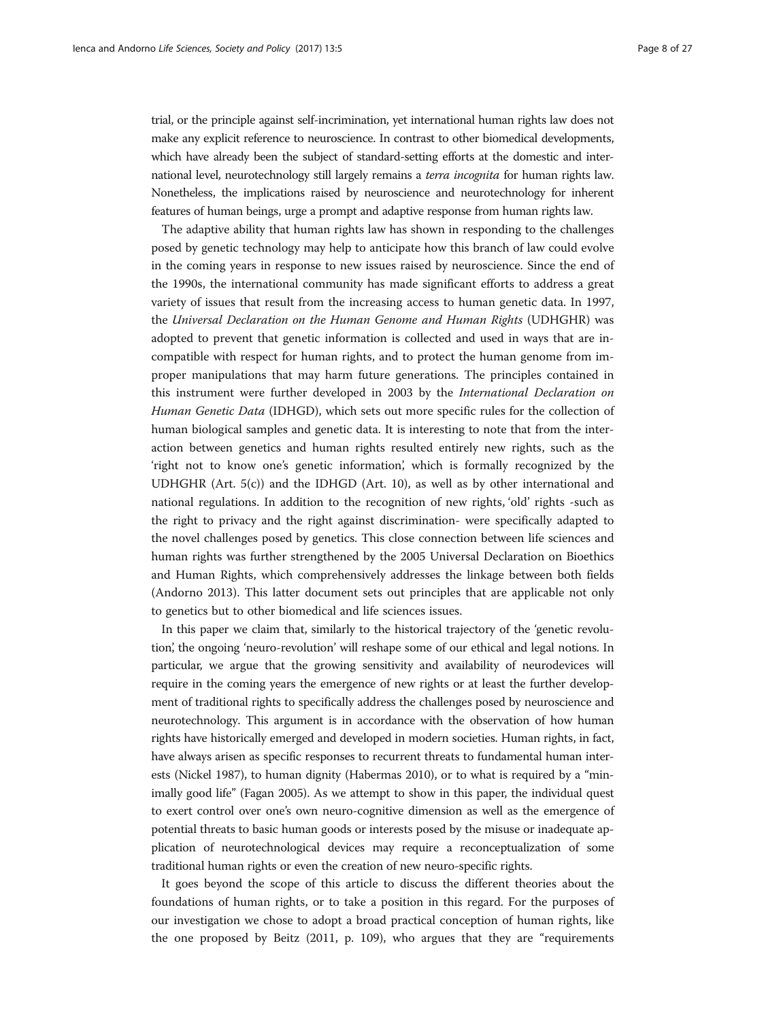trial, or the principle against self-incrimination, yet international human rights law does not make any explicit reference to neuroscience. In contrast to other biomedical developments, which have already been the subject of standard-setting efforts at the domestic and international level, neurotechnology still largely remains a terra incognita for human rights law. Nonetheless, the implications raised by neuroscience and neurotechnology for inherent features of human beings, urge a prompt and adaptive response from human rights law.

The adaptive ability that human rights law has shown in responding to the challenges posed by genetic technology may help to anticipate how this branch of law could evolve in the coming years in response to new issues raised by neuroscience. Since the end of the 1990s, the international community has made significant efforts to address a great variety of issues that result from the increasing access to human genetic data. In 1997, the Universal Declaration on the Human Genome and Human Rights (UDHGHR) was adopted to prevent that genetic information is collected and used in ways that are incompatible with respect for human rights, and to protect the human genome from improper manipulations that may harm future generations. The principles contained in this instrument were further developed in 2003 by the International Declaration on Human Genetic Data (IDHGD), which sets out more specific rules for the collection of human biological samples and genetic data. It is interesting to note that from the interaction between genetics and human rights resulted entirely new rights, such as the 'right not to know one's genetic information', which is formally recognized by the UDHGHR (Art. 5(c)) and the IDHGD (Art. 10), as well as by other international and national regulations. In addition to the recognition of new rights, 'old' rights -such as the right to privacy and the right against discrimination- were specifically adapted to the novel challenges posed by genetics. This close connection between life sciences and human rights was further strengthened by the 2005 Universal Declaration on Bioethics and Human Rights, which comprehensively addresses the linkage between both fields (Andorno [2013](#page-25-0)). This latter document sets out principles that are applicable not only to genetics but to other biomedical and life sciences issues.

In this paper we claim that, similarly to the historical trajectory of the 'genetic revolution', the ongoing 'neuro-revolution' will reshape some of our ethical and legal notions. In particular, we argue that the growing sensitivity and availability of neurodevices will require in the coming years the emergence of new rights or at least the further development of traditional rights to specifically address the challenges posed by neuroscience and neurotechnology. This argument is in accordance with the observation of how human rights have historically emerged and developed in modern societies. Human rights, in fact, have always arisen as specific responses to recurrent threats to fundamental human interests (Nickel [1987\)](#page-26-0), to human dignity (Habermas [2010\)](#page-25-0), or to what is required by a "minimally good life" (Fagan [2005\)](#page-25-0). As we attempt to show in this paper, the individual quest to exert control over one's own neuro-cognitive dimension as well as the emergence of potential threats to basic human goods or interests posed by the misuse or inadequate application of neurotechnological devices may require a reconceptualization of some traditional human rights or even the creation of new neuro-specific rights.

It goes beyond the scope of this article to discuss the different theories about the foundations of human rights, or to take a position in this regard. For the purposes of our investigation we chose to adopt a broad practical conception of human rights, like the one proposed by Beitz [\(2011,](#page-25-0) p. 109), who argues that they are "requirements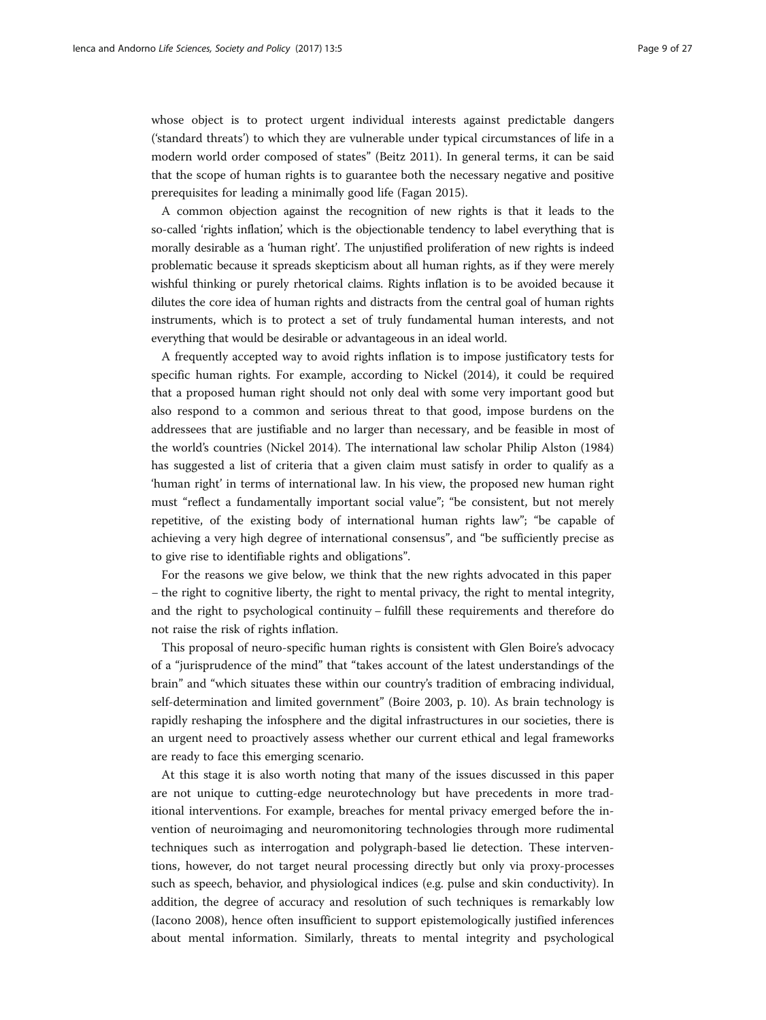whose object is to protect urgent individual interests against predictable dangers ('standard threats') to which they are vulnerable under typical circumstances of life in a modern world order composed of states" (Beitz [2011\)](#page-25-0). In general terms, it can be said that the scope of human rights is to guarantee both the necessary negative and positive prerequisites for leading a minimally good life (Fagan [2015\)](#page-25-0).

A common objection against the recognition of new rights is that it leads to the so-called 'rights inflation', which is the objectionable tendency to label everything that is morally desirable as a 'human right'. The unjustified proliferation of new rights is indeed problematic because it spreads skepticism about all human rights, as if they were merely wishful thinking or purely rhetorical claims. Rights inflation is to be avoided because it dilutes the core idea of human rights and distracts from the central goal of human rights instruments, which is to protect a set of truly fundamental human interests, and not everything that would be desirable or advantageous in an ideal world.

A frequently accepted way to avoid rights inflation is to impose justificatory tests for specific human rights. For example, according to Nickel [\(2014](#page-26-0)), it could be required that a proposed human right should not only deal with some very important good but also respond to a common and serious threat to that good, impose burdens on the addressees that are justifiable and no larger than necessary, and be feasible in most of the world's countries (Nickel [2014\)](#page-26-0). The international law scholar Philip Alston ([1984](#page-25-0)) has suggested a list of criteria that a given claim must satisfy in order to qualify as a 'human right' in terms of international law. In his view, the proposed new human right must "reflect a fundamentally important social value"; "be consistent, but not merely repetitive, of the existing body of international human rights law"; "be capable of achieving a very high degree of international consensus", and "be sufficiently precise as to give rise to identifiable rights and obligations".

For the reasons we give below, we think that the new rights advocated in this paper − the right to cognitive liberty, the right to mental privacy, the right to mental integrity, and the right to psychological continuity − fulfill these requirements and therefore do not raise the risk of rights inflation.

This proposal of neuro-specific human rights is consistent with Glen Boire's advocacy of a "jurisprudence of the mind" that "takes account of the latest understandings of the brain" and "which situates these within our country's tradition of embracing individual, self-determination and limited government" (Boire [2003,](#page-25-0) p. 10). As brain technology is rapidly reshaping the infosphere and the digital infrastructures in our societies, there is an urgent need to proactively assess whether our current ethical and legal frameworks are ready to face this emerging scenario.

At this stage it is also worth noting that many of the issues discussed in this paper are not unique to cutting-edge neurotechnology but have precedents in more traditional interventions. For example, breaches for mental privacy emerged before the invention of neuroimaging and neuromonitoring technologies through more rudimental techniques such as interrogation and polygraph-based lie detection. These interventions, however, do not target neural processing directly but only via proxy-processes such as speech, behavior, and physiological indices (e.g. pulse and skin conductivity). In addition, the degree of accuracy and resolution of such techniques is remarkably low (Iacono [2008\)](#page-25-0), hence often insufficient to support epistemologically justified inferences about mental information. Similarly, threats to mental integrity and psychological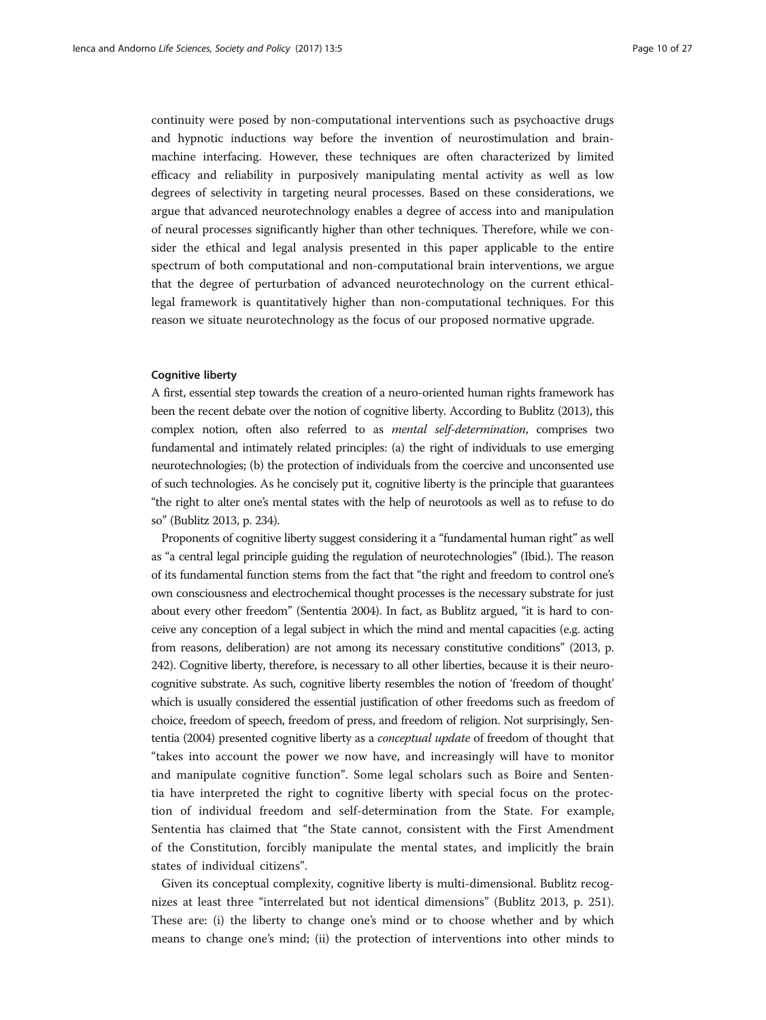continuity were posed by non-computational interventions such as psychoactive drugs and hypnotic inductions way before the invention of neurostimulation and brainmachine interfacing. However, these techniques are often characterized by limited efficacy and reliability in purposively manipulating mental activity as well as low degrees of selectivity in targeting neural processes. Based on these considerations, we argue that advanced neurotechnology enables a degree of access into and manipulation of neural processes significantly higher than other techniques. Therefore, while we consider the ethical and legal analysis presented in this paper applicable to the entire spectrum of both computational and non-computational brain interventions, we argue that the degree of perturbation of advanced neurotechnology on the current ethicallegal framework is quantitatively higher than non-computational techniques. For this reason we situate neurotechnology as the focus of our proposed normative upgrade.

### Cognitive liberty

A first, essential step towards the creation of a neuro-oriented human rights framework has been the recent debate over the notion of cognitive liberty. According to Bublitz ([2013\)](#page-25-0), this complex notion, often also referred to as mental self-determination, comprises two fundamental and intimately related principles: (a) the right of individuals to use emerging neurotechnologies; (b) the protection of individuals from the coercive and unconsented use of such technologies. As he concisely put it, cognitive liberty is the principle that guarantees "the right to alter one's mental states with the help of neurotools as well as to refuse to do so" (Bublitz [2013](#page-25-0), p. 234).

Proponents of cognitive liberty suggest considering it a "fundamental human right" as well as "a central legal principle guiding the regulation of neurotechnologies" (Ibid.). The reason of its fundamental function stems from the fact that "the right and freedom to control one's own consciousness and electrochemical thought processes is the necessary substrate for just about every other freedom" (Sententia [2004](#page-26-0)). In fact, as Bublitz argued, "it is hard to conceive any conception of a legal subject in which the mind and mental capacities (e.g. acting from reasons, deliberation) are not among its necessary constitutive conditions" [\(2013,](#page-25-0) p. 242). Cognitive liberty, therefore, is necessary to all other liberties, because it is their neurocognitive substrate. As such, cognitive liberty resembles the notion of 'freedom of thought' which is usually considered the essential justification of other freedoms such as freedom of choice, freedom of speech, freedom of press, and freedom of religion. Not surprisingly, Sententia [\(2004](#page-26-0)) presented cognitive liberty as a conceptual update of freedom of thought that "takes into account the power we now have, and increasingly will have to monitor and manipulate cognitive function". Some legal scholars such as Boire and Sententia have interpreted the right to cognitive liberty with special focus on the protection of individual freedom and self-determination from the State. For example, Sententia has claimed that "the State cannot, consistent with the First Amendment of the Constitution, forcibly manipulate the mental states, and implicitly the brain states of individual citizens".

Given its conceptual complexity, cognitive liberty is multi-dimensional. Bublitz recognizes at least three "interrelated but not identical dimensions" (Bublitz [2013,](#page-25-0) p. 251). These are: (i) the liberty to change one's mind or to choose whether and by which means to change one's mind; (ii) the protection of interventions into other minds to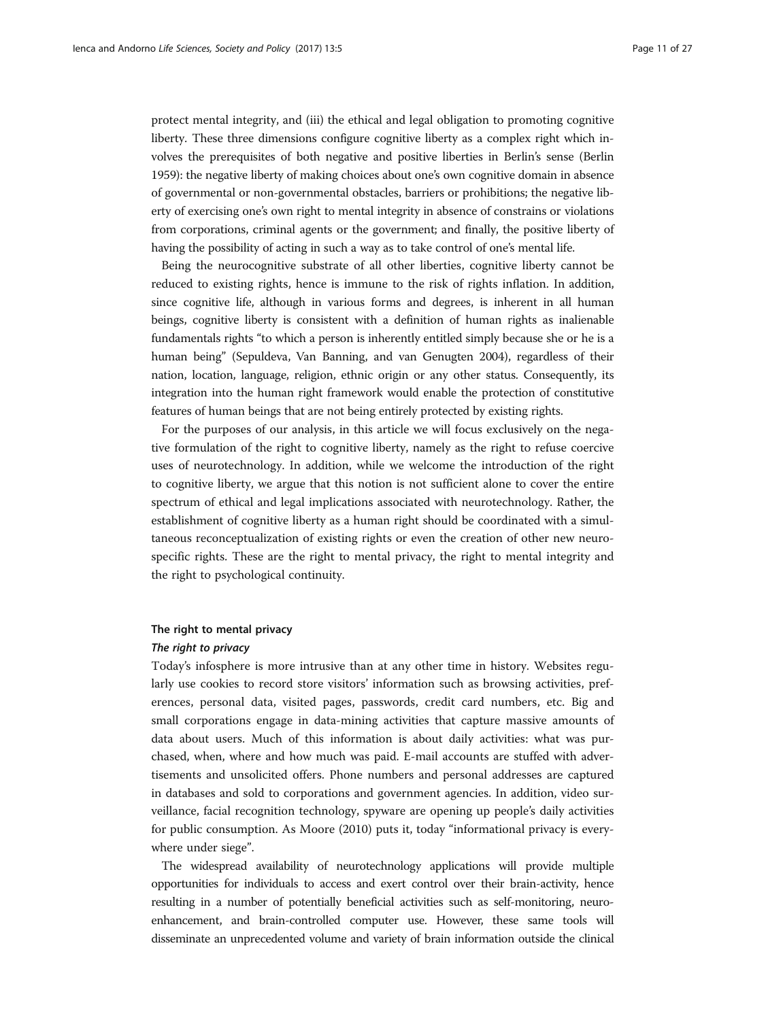protect mental integrity, and (iii) the ethical and legal obligation to promoting cognitive liberty. These three dimensions configure cognitive liberty as a complex right which involves the prerequisites of both negative and positive liberties in Berlin's sense (Berlin [1959\)](#page-25-0): the negative liberty of making choices about one's own cognitive domain in absence of governmental or non-governmental obstacles, barriers or prohibitions; the negative liberty of exercising one's own right to mental integrity in absence of constrains or violations from corporations, criminal agents or the government; and finally, the positive liberty of having the possibility of acting in such a way as to take control of one's mental life.

Being the neurocognitive substrate of all other liberties, cognitive liberty cannot be reduced to existing rights, hence is immune to the risk of rights inflation. In addition, since cognitive life, although in various forms and degrees, is inherent in all human beings, cognitive liberty is consistent with a definition of human rights as inalienable fundamentals rights "to which a person is inherently entitled simply because she or he is a human being" (Sepuldeva, Van Banning, and van Genugten [2004](#page-26-0)), regardless of their nation, location, language, religion, ethnic origin or any other status. Consequently, its integration into the human right framework would enable the protection of constitutive features of human beings that are not being entirely protected by existing rights.

For the purposes of our analysis, in this article we will focus exclusively on the negative formulation of the right to cognitive liberty, namely as the right to refuse coercive uses of neurotechnology. In addition, while we welcome the introduction of the right to cognitive liberty, we argue that this notion is not sufficient alone to cover the entire spectrum of ethical and legal implications associated with neurotechnology. Rather, the establishment of cognitive liberty as a human right should be coordinated with a simultaneous reconceptualization of existing rights or even the creation of other new neurospecific rights. These are the right to mental privacy, the right to mental integrity and the right to psychological continuity.

### The right to mental privacy

Today's infosphere is more intrusive than at any other time in history. Websites regularly use cookies to record store visitors' information such as browsing activities, preferences, personal data, visited pages, passwords, credit card numbers, etc. Big and small corporations engage in data-mining activities that capture massive amounts of data about users. Much of this information is about daily activities: what was purchased, when, where and how much was paid. E-mail accounts are stuffed with advertisements and unsolicited offers. Phone numbers and personal addresses are captured in databases and sold to corporations and government agencies. In addition, video surveillance, facial recognition technology, spyware are opening up people's daily activities for public consumption. As Moore ([2010](#page-26-0)) puts it, today "informational privacy is everywhere under siege".

The widespread availability of neurotechnology applications will provide multiple opportunities for individuals to access and exert control over their brain-activity, hence resulting in a number of potentially beneficial activities such as self-monitoring, neuroenhancement, and brain-controlled computer use. However, these same tools will disseminate an unprecedented volume and variety of brain information outside the clinical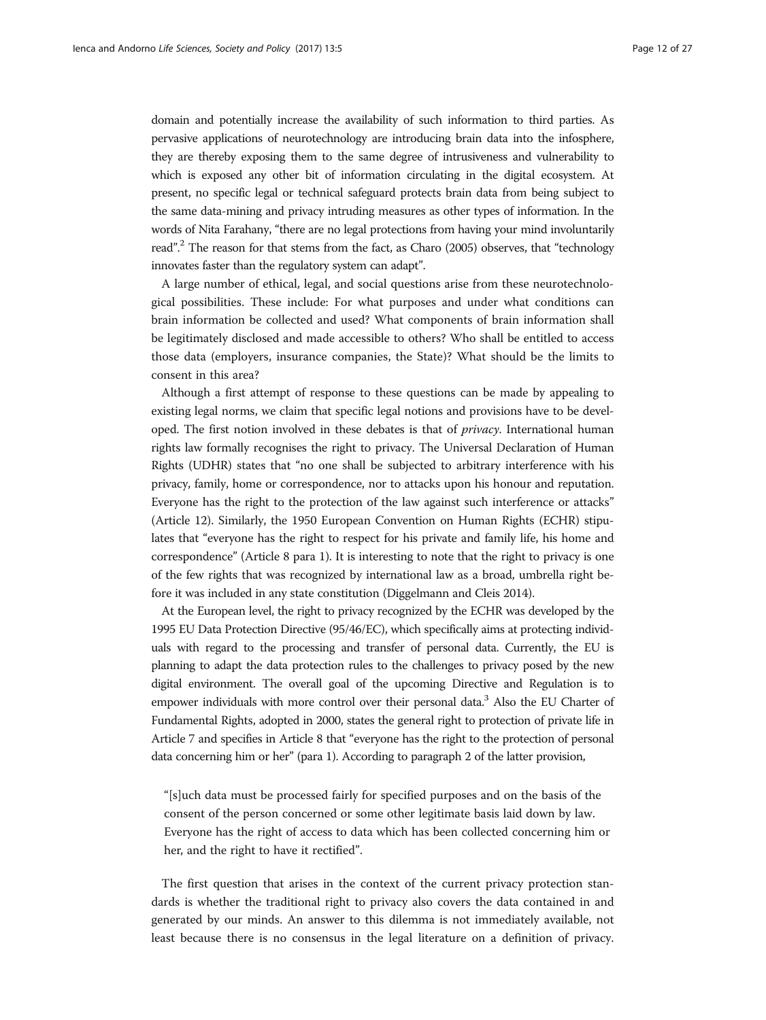domain and potentially increase the availability of such information to third parties. As pervasive applications of neurotechnology are introducing brain data into the infosphere, they are thereby exposing them to the same degree of intrusiveness and vulnerability to which is exposed any other bit of information circulating in the digital ecosystem. At present, no specific legal or technical safeguard protects brain data from being subject to the same data-mining and privacy intruding measures as other types of information. In the words of Nita Farahany, "there are no legal protections from having your mind involuntarily read".<sup>2</sup> The reason for that stems from the fact, as Charo [\(2005](#page-25-0)) observes, that "technology innovates faster than the regulatory system can adapt".

A large number of ethical, legal, and social questions arise from these neurotechnological possibilities. These include: For what purposes and under what conditions can brain information be collected and used? What components of brain information shall be legitimately disclosed and made accessible to others? Who shall be entitled to access those data (employers, insurance companies, the State)? What should be the limits to consent in this area?

Although a first attempt of response to these questions can be made by appealing to existing legal norms, we claim that specific legal notions and provisions have to be developed. The first notion involved in these debates is that of privacy. International human rights law formally recognises the right to privacy. The Universal Declaration of Human Rights (UDHR) states that "no one shall be subjected to arbitrary interference with his privacy, family, home or correspondence, nor to attacks upon his honour and reputation. Everyone has the right to the protection of the law against such interference or attacks" (Article 12). Similarly, the 1950 European Convention on Human Rights (ECHR) stipulates that "everyone has the right to respect for his private and family life, his home and correspondence" (Article 8 para 1). It is interesting to note that the right to privacy is one of the few rights that was recognized by international law as a broad, umbrella right before it was included in any state constitution (Diggelmann and Cleis [2014\)](#page-25-0).

At the European level, the right to privacy recognized by the ECHR was developed by the 1995 EU Data Protection Directive (95/46/EC), which specifically aims at protecting individuals with regard to the processing and transfer of personal data. Currently, the EU is planning to adapt the data protection rules to the challenges to privacy posed by the new digital environment. The overall goal of the upcoming Directive and Regulation is to empower individuals with more control over their personal data.<sup>3</sup> Also the EU Charter of Fundamental Rights, adopted in 2000, states the general right to protection of private life in Article 7 and specifies in Article 8 that "everyone has the right to the protection of personal data concerning him or her" (para 1). According to paragraph 2 of the latter provision,

"[s]uch data must be processed fairly for specified purposes and on the basis of the consent of the person concerned or some other legitimate basis laid down by law. Everyone has the right of access to data which has been collected concerning him or her, and the right to have it rectified".

The first question that arises in the context of the current privacy protection standards is whether the traditional right to privacy also covers the data contained in and generated by our minds. An answer to this dilemma is not immediately available, not least because there is no consensus in the legal literature on a definition of privacy.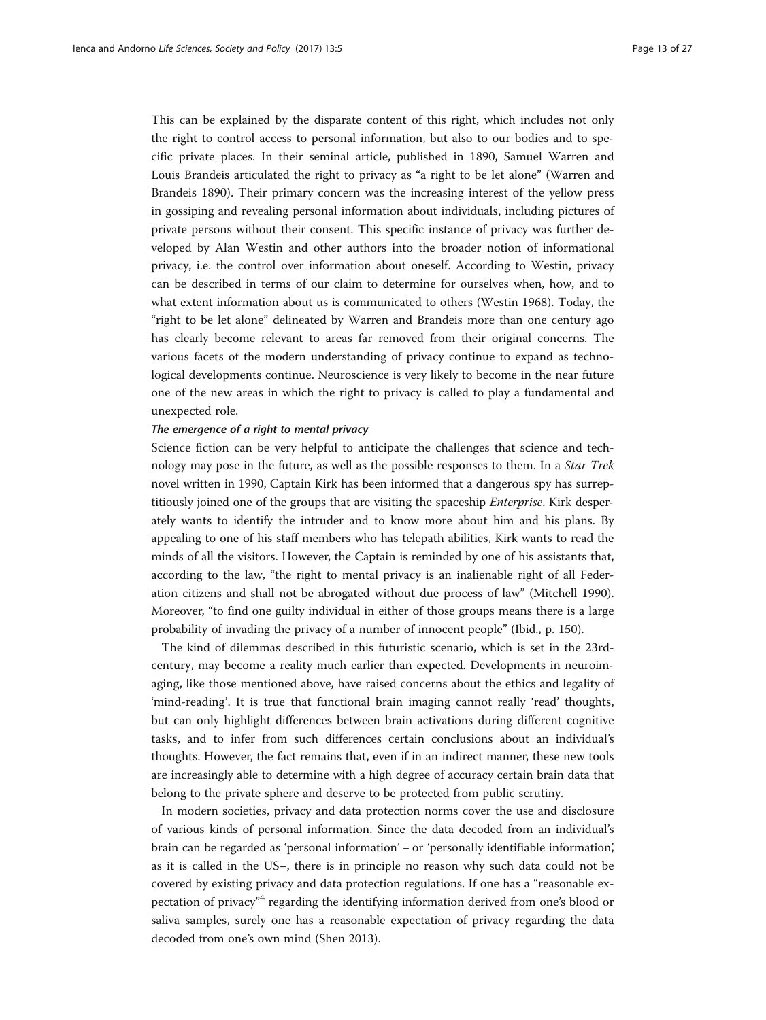This can be explained by the disparate content of this right, which includes not only the right to control access to personal information, but also to our bodies and to specific private places. In their seminal article, published in 1890, Samuel Warren and Louis Brandeis articulated the right to privacy as "a right to be let alone" (Warren and Brandeis [1890](#page-26-0)). Their primary concern was the increasing interest of the yellow press in gossiping and revealing personal information about individuals, including pictures of private persons without their consent. This specific instance of privacy was further developed by Alan Westin and other authors into the broader notion of informational privacy, i.e. the control over information about oneself. According to Westin, privacy can be described in terms of our claim to determine for ourselves when, how, and to what extent information about us is communicated to others (Westin [1968\)](#page-26-0). Today, the "right to be let alone" delineated by Warren and Brandeis more than one century ago has clearly become relevant to areas far removed from their original concerns. The various facets of the modern understanding of privacy continue to expand as technological developments continue. Neuroscience is very likely to become in the near future one of the new areas in which the right to privacy is called to play a fundamental and unexpected role.

Science fiction can be very helpful to anticipate the challenges that science and technology may pose in the future, as well as the possible responses to them. In a Star Trek novel written in 1990, Captain Kirk has been informed that a dangerous spy has surreptitiously joined one of the groups that are visiting the spaceship Enterprise. Kirk desperately wants to identify the intruder and to know more about him and his plans. By appealing to one of his staff members who has telepath abilities, Kirk wants to read the minds of all the visitors. However, the Captain is reminded by one of his assistants that, according to the law, "the right to mental privacy is an inalienable right of all Federation citizens and shall not be abrogated without due process of law" (Mitchell [1990](#page-26-0)). Moreover, "to find one guilty individual in either of those groups means there is a large probability of invading the privacy of a number of innocent people" (Ibid., p. 150).

The kind of dilemmas described in this futuristic scenario, which is set in the 23rdcentury, may become a reality much earlier than expected. Developments in neuroimaging, like those mentioned above, have raised concerns about the ethics and legality of 'mind-reading'. It is true that functional brain imaging cannot really 'read' thoughts, but can only highlight differences between brain activations during different cognitive tasks, and to infer from such differences certain conclusions about an individual's thoughts. However, the fact remains that, even if in an indirect manner, these new tools are increasingly able to determine with a high degree of accuracy certain brain data that belong to the private sphere and deserve to be protected from public scrutiny.

In modern societies, privacy and data protection norms cover the use and disclosure of various kinds of personal information. Since the data decoded from an individual's brain can be regarded as 'personal information' − or 'personally identifiable information', as it is called in the US−, there is in principle no reason why such data could not be covered by existing privacy and data protection regulations. If one has a "reasonable expectation of privacy"<sup>4</sup> regarding the identifying information derived from one's blood or saliva samples, surely one has a reasonable expectation of privacy regarding the data decoded from one's own mind (Shen [2013\)](#page-26-0).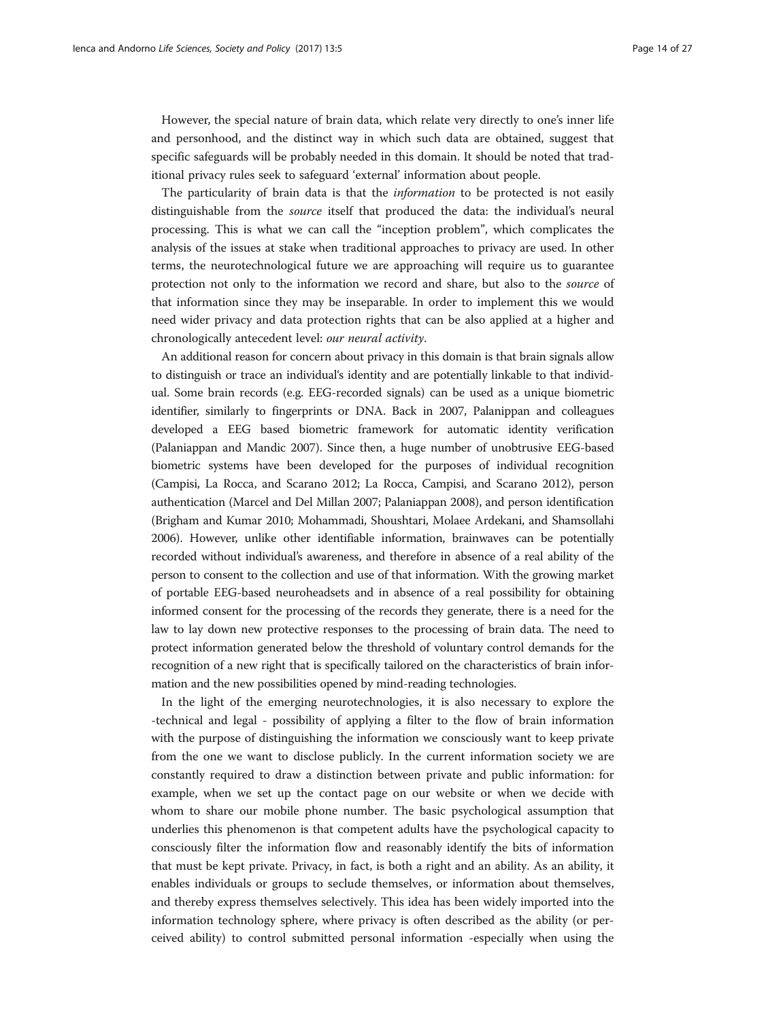However, the special nature of brain data, which relate very directly to one's inner life and personhood, and the distinct way in which such data are obtained, suggest that specific safeguards will be probably needed in this domain. It should be noted that traditional privacy rules seek to safeguard 'external' information about people.

The particularity of brain data is that the *information* to be protected is not easily distinguishable from the *source* itself that produced the data: the individual's neural processing. This is what we can call the "inception problem", which complicates the analysis of the issues at stake when traditional approaches to privacy are used. In other terms, the neurotechnological future we are approaching will require us to guarantee protection not only to the information we record and share, but also to the source of that information since they may be inseparable. In order to implement this we would need wider privacy and data protection rights that can be also applied at a higher and chronologically antecedent level: our neural activity.

An additional reason for concern about privacy in this domain is that brain signals allow to distinguish or trace an individual's identity and are potentially linkable to that individual. Some brain records (e.g. EEG-recorded signals) can be used as a unique biometric identifier, similarly to fingerprints or DNA. Back in 2007, Palanippan and colleagues developed a EEG based biometric framework for automatic identity verification (Palaniappan and Mandic [2007](#page-26-0)). Since then, a huge number of unobtrusive EEG-based biometric systems have been developed for the purposes of individual recognition (Campisi, La Rocca, and Scarano [2012;](#page-25-0) La Rocca, Campisi, and Scarano [2012](#page-25-0)), person authentication (Marcel and Del Millan [2007](#page-26-0); Palaniappan [2008\)](#page-26-0), and person identification (Brigham and Kumar [2010](#page-25-0); Mohammadi, Shoushtari, Molaee Ardekani, and Shamsollahi [2006\)](#page-26-0). However, unlike other identifiable information, brainwaves can be potentially recorded without individual's awareness, and therefore in absence of a real ability of the person to consent to the collection and use of that information. With the growing market of portable EEG-based neuroheadsets and in absence of a real possibility for obtaining informed consent for the processing of the records they generate, there is a need for the law to lay down new protective responses to the processing of brain data. The need to protect information generated below the threshold of voluntary control demands for the recognition of a new right that is specifically tailored on the characteristics of brain information and the new possibilities opened by mind-reading technologies.

In the light of the emerging neurotechnologies, it is also necessary to explore the -technical and legal - possibility of applying a filter to the flow of brain information with the purpose of distinguishing the information we consciously want to keep private from the one we want to disclose publicly. In the current information society we are constantly required to draw a distinction between private and public information: for example, when we set up the contact page on our website or when we decide with whom to share our mobile phone number. The basic psychological assumption that underlies this phenomenon is that competent adults have the psychological capacity to consciously filter the information flow and reasonably identify the bits of information that must be kept private. Privacy, in fact, is both a right and an ability. As an ability, it enables individuals or groups to seclude themselves, or information about themselves, and thereby express themselves selectively. This idea has been widely imported into the information technology sphere, where privacy is often described as the ability (or perceived ability) to control submitted personal information -especially when using the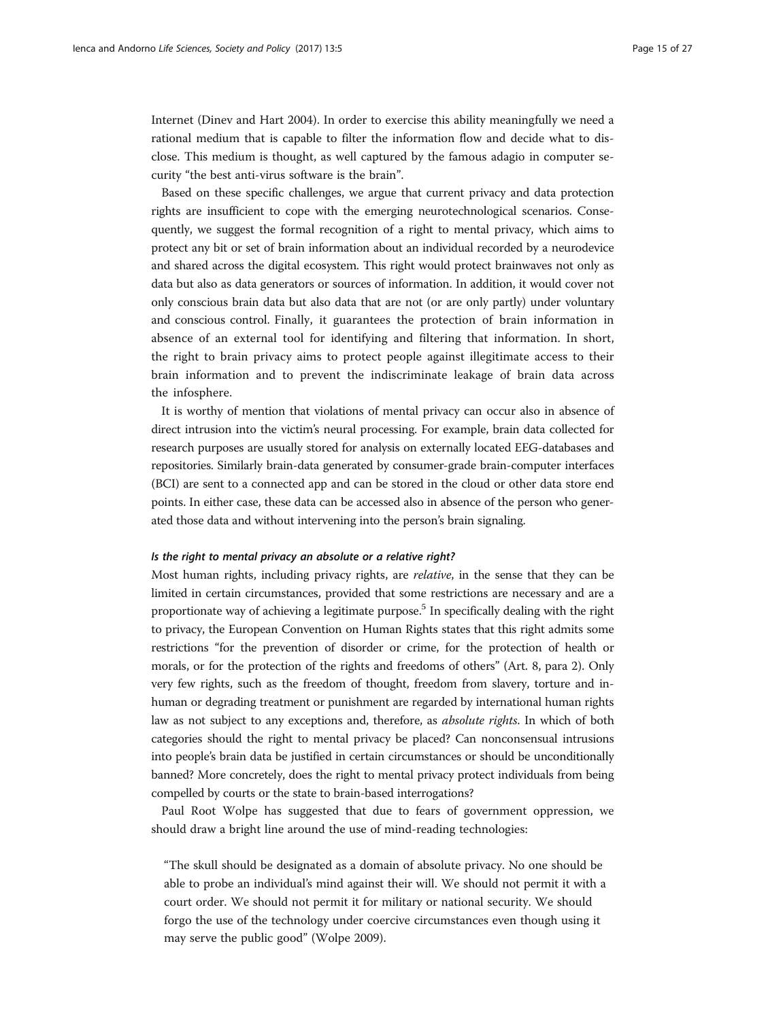Internet (Dinev and Hart [2004](#page-25-0)). In order to exercise this ability meaningfully we need a rational medium that is capable to filter the information flow and decide what to disclose. This medium is thought, as well captured by the famous adagio in computer security "the best anti-virus software is the brain".

Based on these specific challenges, we argue that current privacy and data protection rights are insufficient to cope with the emerging neurotechnological scenarios. Consequently, we suggest the formal recognition of a right to mental privacy, which aims to protect any bit or set of brain information about an individual recorded by a neurodevice and shared across the digital ecosystem. This right would protect brainwaves not only as data but also as data generators or sources of information. In addition, it would cover not only conscious brain data but also data that are not (or are only partly) under voluntary and conscious control. Finally, it guarantees the protection of brain information in absence of an external tool for identifying and filtering that information. In short, the right to brain privacy aims to protect people against illegitimate access to their brain information and to prevent the indiscriminate leakage of brain data across the infosphere.

It is worthy of mention that violations of mental privacy can occur also in absence of direct intrusion into the victim's neural processing. For example, brain data collected for research purposes are usually stored for analysis on externally located EEG-databases and repositories. Similarly brain-data generated by consumer-grade brain-computer interfaces (BCI) are sent to a connected app and can be stored in the cloud or other data store end points. In either case, these data can be accessed also in absence of the person who generated those data and without intervening into the person's brain signaling.

Most human rights, including privacy rights, are *relative*, in the sense that they can be limited in certain circumstances, provided that some restrictions are necessary and are a proportionate way of achieving a legitimate purpose.5 In specifically dealing with the right to privacy, the European Convention on Human Rights states that this right admits some restrictions "for the prevention of disorder or crime, for the protection of health or morals, or for the protection of the rights and freedoms of others" (Art. 8, para 2). Only very few rights, such as the freedom of thought, freedom from slavery, torture and inhuman or degrading treatment or punishment are regarded by international human rights law as not subject to any exceptions and, therefore, as *absolute rights*. In which of both categories should the right to mental privacy be placed? Can nonconsensual intrusions into people's brain data be justified in certain circumstances or should be unconditionally banned? More concretely, does the right to mental privacy protect individuals from being compelled by courts or the state to brain-based interrogations?

Paul Root Wolpe has suggested that due to fears of government oppression, we should draw a bright line around the use of mind-reading technologies:

"The skull should be designated as a domain of absolute privacy. No one should be able to probe an individual's mind against their will. We should not permit it with a court order. We should not permit it for military or national security. We should forgo the use of the technology under coercive circumstances even though using it may serve the public good" (Wolpe [2009](#page-26-0)).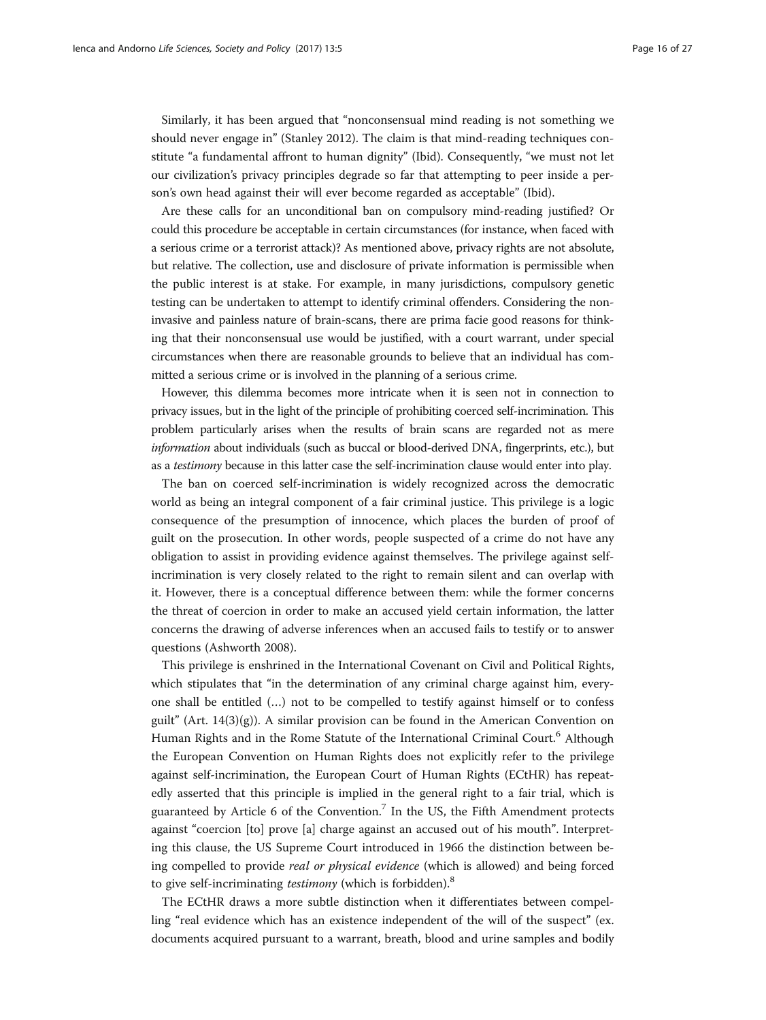Similarly, it has been argued that "nonconsensual mind reading is not something we should never engage in" (Stanley [2012\)](#page-26-0). The claim is that mind-reading techniques constitute "a fundamental affront to human dignity" (Ibid). Consequently, "we must not let our civilization's privacy principles degrade so far that attempting to peer inside a person's own head against their will ever become regarded as acceptable" (Ibid).

Are these calls for an unconditional ban on compulsory mind-reading justified? Or could this procedure be acceptable in certain circumstances (for instance, when faced with a serious crime or a terrorist attack)? As mentioned above, privacy rights are not absolute, but relative. The collection, use and disclosure of private information is permissible when the public interest is at stake. For example, in many jurisdictions, compulsory genetic testing can be undertaken to attempt to identify criminal offenders. Considering the noninvasive and painless nature of brain-scans, there are prima facie good reasons for thinking that their nonconsensual use would be justified, with a court warrant, under special circumstances when there are reasonable grounds to believe that an individual has committed a serious crime or is involved in the planning of a serious crime.

However, this dilemma becomes more intricate when it is seen not in connection to privacy issues, but in the light of the principle of prohibiting coerced self-incrimination. This problem particularly arises when the results of brain scans are regarded not as mere information about individuals (such as buccal or blood-derived DNA, fingerprints, etc.), but as a testimony because in this latter case the self-incrimination clause would enter into play.

The ban on coerced self-incrimination is widely recognized across the democratic world as being an integral component of a fair criminal justice. This privilege is a logic consequence of the presumption of innocence, which places the burden of proof of guilt on the prosecution. In other words, people suspected of a crime do not have any obligation to assist in providing evidence against themselves. The privilege against selfincrimination is very closely related to the right to remain silent and can overlap with it. However, there is a conceptual difference between them: while the former concerns the threat of coercion in order to make an accused yield certain information, the latter concerns the drawing of adverse inferences when an accused fails to testify or to answer questions (Ashworth [2008](#page-25-0)).

This privilege is enshrined in the International Covenant on Civil and Political Rights, which stipulates that "in the determination of any criminal charge against him, everyone shall be entitled (…) not to be compelled to testify against himself or to confess guilt" (Art.  $14(3)(g)$ ). A similar provision can be found in the American Convention on Human Rights and in the Rome Statute of the International Criminal Court.<sup>6</sup> Although the European Convention on Human Rights does not explicitly refer to the privilege against self-incrimination, the European Court of Human Rights (ECtHR) has repeatedly asserted that this principle is implied in the general right to a fair trial, which is guaranteed by Article 6 of the Convention.<sup>7</sup> In the US, the Fifth Amendment protects against "coercion [to] prove [a] charge against an accused out of his mouth". Interpreting this clause, the US Supreme Court introduced in 1966 the distinction between being compelled to provide real or physical evidence (which is allowed) and being forced to give self-incriminating *testimony* (which is forbidden).<sup>8</sup>

The ECtHR draws a more subtle distinction when it differentiates between compelling "real evidence which has an existence independent of the will of the suspect" (ex. documents acquired pursuant to a warrant, breath, blood and urine samples and bodily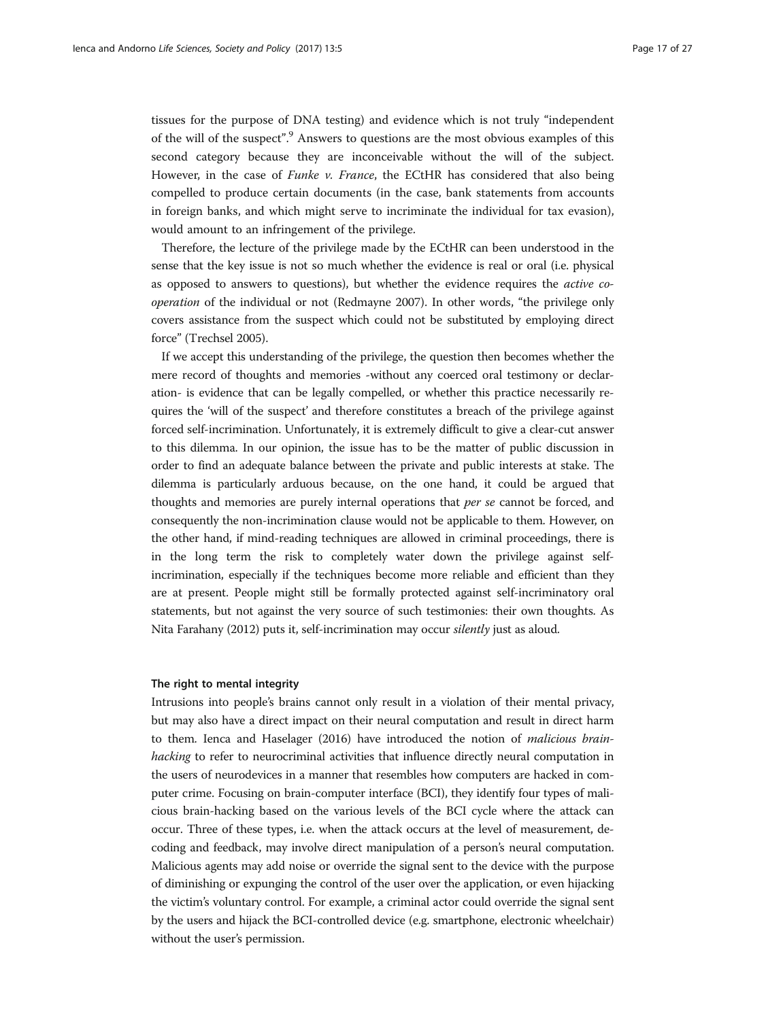tissues for the purpose of DNA testing) and evidence which is not truly "independent of the will of the suspect".<sup>9</sup> Answers to questions are the most obvious examples of this second category because they are inconceivable without the will of the subject. However, in the case of *Funke v. France*, the ECtHR has considered that also being compelled to produce certain documents (in the case, bank statements from accounts in foreign banks, and which might serve to incriminate the individual for tax evasion), would amount to an infringement of the privilege.

Therefore, the lecture of the privilege made by the ECtHR can been understood in the sense that the key issue is not so much whether the evidence is real or oral (i.e. physical as opposed to answers to questions), but whether the evidence requires the active cooperation of the individual or not (Redmayne [2007](#page-26-0)). In other words, "the privilege only covers assistance from the suspect which could not be substituted by employing direct force" (Trechsel [2005](#page-26-0)).

If we accept this understanding of the privilege, the question then becomes whether the mere record of thoughts and memories -without any coerced oral testimony or declaration- is evidence that can be legally compelled, or whether this practice necessarily requires the 'will of the suspect' and therefore constitutes a breach of the privilege against forced self-incrimination. Unfortunately, it is extremely difficult to give a clear-cut answer to this dilemma. In our opinion, the issue has to be the matter of public discussion in order to find an adequate balance between the private and public interests at stake. The dilemma is particularly arduous because, on the one hand, it could be argued that thoughts and memories are purely internal operations that per se cannot be forced, and consequently the non-incrimination clause would not be applicable to them. However, on the other hand, if mind-reading techniques are allowed in criminal proceedings, there is in the long term the risk to completely water down the privilege against selfincrimination, especially if the techniques become more reliable and efficient than they are at present. People might still be formally protected against self-incriminatory oral statements, but not against the very source of such testimonies: their own thoughts. As Nita Farahany [\(2012\)](#page-25-0) puts it, self-incrimination may occur silently just as aloud.

### The right to mental integrity

Intrusions into people's brains cannot only result in a violation of their mental privacy, but may also have a direct impact on their neural computation and result in direct harm to them. Ienca and Haselager ([2016](#page-25-0)) have introduced the notion of malicious brainhacking to refer to neurocriminal activities that influence directly neural computation in the users of neurodevices in a manner that resembles how computers are hacked in computer crime. Focusing on brain-computer interface (BCI), they identify four types of malicious brain-hacking based on the various levels of the BCI cycle where the attack can occur. Three of these types, i.e. when the attack occurs at the level of measurement, decoding and feedback, may involve direct manipulation of a person's neural computation. Malicious agents may add noise or override the signal sent to the device with the purpose of diminishing or expunging the control of the user over the application, or even hijacking the victim's voluntary control. For example, a criminal actor could override the signal sent by the users and hijack the BCI-controlled device (e.g. smartphone, electronic wheelchair) without the user's permission.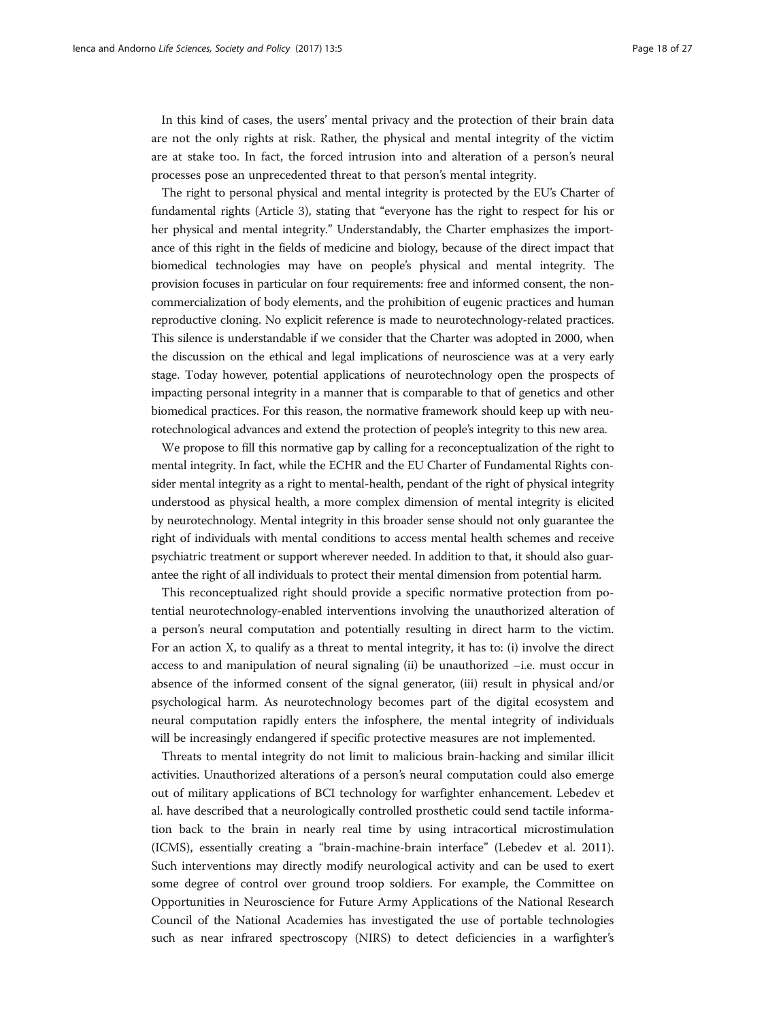In this kind of cases, the users' mental privacy and the protection of their brain data are not the only rights at risk. Rather, the physical and mental integrity of the victim are at stake too. In fact, the forced intrusion into and alteration of a person's neural processes pose an unprecedented threat to that person's mental integrity.

The right to personal physical and mental integrity is protected by the EU's Charter of fundamental rights (Article 3), stating that "everyone has the right to respect for his or her physical and mental integrity." Understandably, the Charter emphasizes the importance of this right in the fields of medicine and biology, because of the direct impact that biomedical technologies may have on people's physical and mental integrity. The provision focuses in particular on four requirements: free and informed consent, the noncommercialization of body elements, and the prohibition of eugenic practices and human reproductive cloning. No explicit reference is made to neurotechnology-related practices. This silence is understandable if we consider that the Charter was adopted in 2000, when the discussion on the ethical and legal implications of neuroscience was at a very early stage. Today however, potential applications of neurotechnology open the prospects of impacting personal integrity in a manner that is comparable to that of genetics and other biomedical practices. For this reason, the normative framework should keep up with neurotechnological advances and extend the protection of people's integrity to this new area.

We propose to fill this normative gap by calling for a reconceptualization of the right to mental integrity. In fact, while the ECHR and the EU Charter of Fundamental Rights consider mental integrity as a right to mental-health, pendant of the right of physical integrity understood as physical health, a more complex dimension of mental integrity is elicited by neurotechnology. Mental integrity in this broader sense should not only guarantee the right of individuals with mental conditions to access mental health schemes and receive psychiatric treatment or support wherever needed. In addition to that, it should also guarantee the right of all individuals to protect their mental dimension from potential harm.

This reconceptualized right should provide a specific normative protection from potential neurotechnology-enabled interventions involving the unauthorized alteration of a person's neural computation and potentially resulting in direct harm to the victim. For an action X, to qualify as a threat to mental integrity, it has to: (i) involve the direct access to and manipulation of neural signaling (ii) be unauthorized –i.e. must occur in absence of the informed consent of the signal generator, (iii) result in physical and/or psychological harm. As neurotechnology becomes part of the digital ecosystem and neural computation rapidly enters the infosphere, the mental integrity of individuals will be increasingly endangered if specific protective measures are not implemented.

Threats to mental integrity do not limit to malicious brain-hacking and similar illicit activities. Unauthorized alterations of a person's neural computation could also emerge out of military applications of BCI technology for warfighter enhancement. Lebedev et al. have described that a neurologically controlled prosthetic could send tactile information back to the brain in nearly real time by using intracortical microstimulation (ICMS), essentially creating a "brain-machine-brain interface" (Lebedev et al. [2011](#page-25-0)). Such interventions may directly modify neurological activity and can be used to exert some degree of control over ground troop soldiers. For example, the Committee on Opportunities in Neuroscience for Future Army Applications of the National Research Council of the National Academies has investigated the use of portable technologies such as near infrared spectroscopy (NIRS) to detect deficiencies in a warfighter's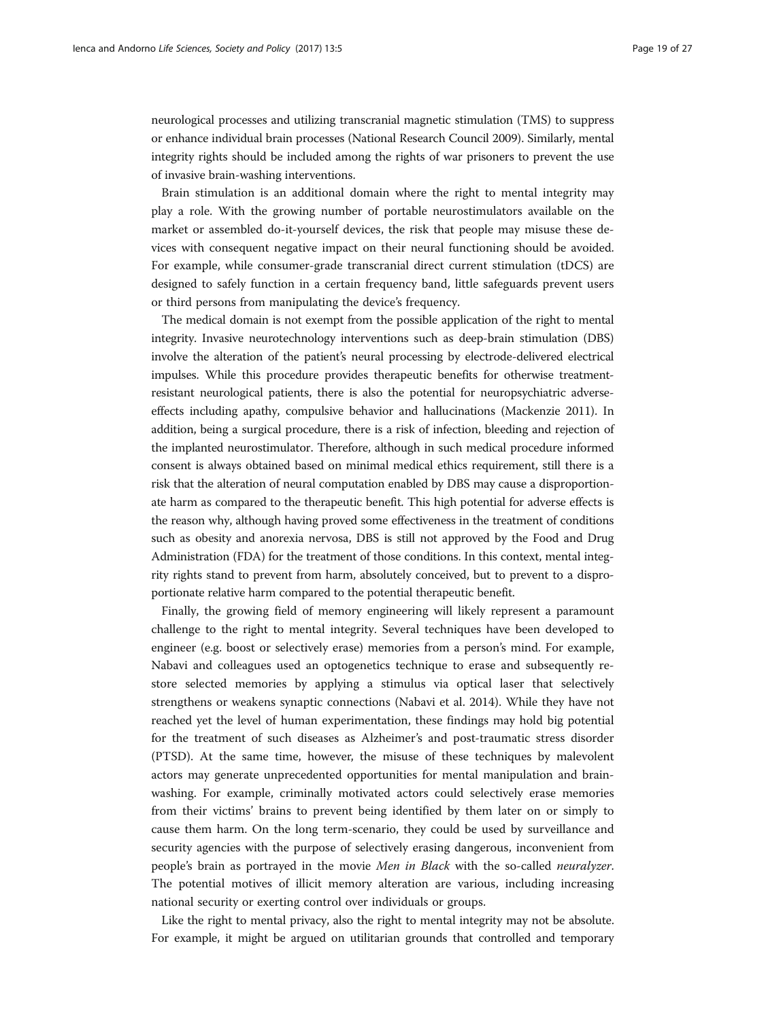neurological processes and utilizing transcranial magnetic stimulation (TMS) to suppress or enhance individual brain processes (National Research Council [2009](#page-26-0)). Similarly, mental integrity rights should be included among the rights of war prisoners to prevent the use of invasive brain-washing interventions.

Brain stimulation is an additional domain where the right to mental integrity may play a role. With the growing number of portable neurostimulators available on the market or assembled do-it-yourself devices, the risk that people may misuse these devices with consequent negative impact on their neural functioning should be avoided. For example, while consumer-grade transcranial direct current stimulation (tDCS) are designed to safely function in a certain frequency band, little safeguards prevent users or third persons from manipulating the device's frequency.

The medical domain is not exempt from the possible application of the right to mental integrity. Invasive neurotechnology interventions such as deep-brain stimulation (DBS) involve the alteration of the patient's neural processing by electrode-delivered electrical impulses. While this procedure provides therapeutic benefits for otherwise treatmentresistant neurological patients, there is also the potential for neuropsychiatric adverseeffects including apathy, compulsive behavior and hallucinations (Mackenzie [2011](#page-26-0)). In addition, being a surgical procedure, there is a risk of infection, bleeding and rejection of the implanted neurostimulator. Therefore, although in such medical procedure informed consent is always obtained based on minimal medical ethics requirement, still there is a risk that the alteration of neural computation enabled by DBS may cause a disproportionate harm as compared to the therapeutic benefit. This high potential for adverse effects is the reason why, although having proved some effectiveness in the treatment of conditions such as obesity and anorexia nervosa, DBS is still not approved by the Food and Drug Administration (FDA) for the treatment of those conditions. In this context, mental integrity rights stand to prevent from harm, absolutely conceived, but to prevent to a disproportionate relative harm compared to the potential therapeutic benefit.

Finally, the growing field of memory engineering will likely represent a paramount challenge to the right to mental integrity. Several techniques have been developed to engineer (e.g. boost or selectively erase) memories from a person's mind. For example, Nabavi and colleagues used an optogenetics technique to erase and subsequently restore selected memories by applying a stimulus via optical laser that selectively strengthens or weakens synaptic connections (Nabavi et al. [2014\)](#page-26-0). While they have not reached yet the level of human experimentation, these findings may hold big potential for the treatment of such diseases as Alzheimer's and post-traumatic stress disorder (PTSD). At the same time, however, the misuse of these techniques by malevolent actors may generate unprecedented opportunities for mental manipulation and brainwashing. For example, criminally motivated actors could selectively erase memories from their victims' brains to prevent being identified by them later on or simply to cause them harm. On the long term-scenario, they could be used by surveillance and security agencies with the purpose of selectively erasing dangerous, inconvenient from people's brain as portrayed in the movie Men in Black with the so-called neuralyzer. The potential motives of illicit memory alteration are various, including increasing national security or exerting control over individuals or groups.

Like the right to mental privacy, also the right to mental integrity may not be absolute. For example, it might be argued on utilitarian grounds that controlled and temporary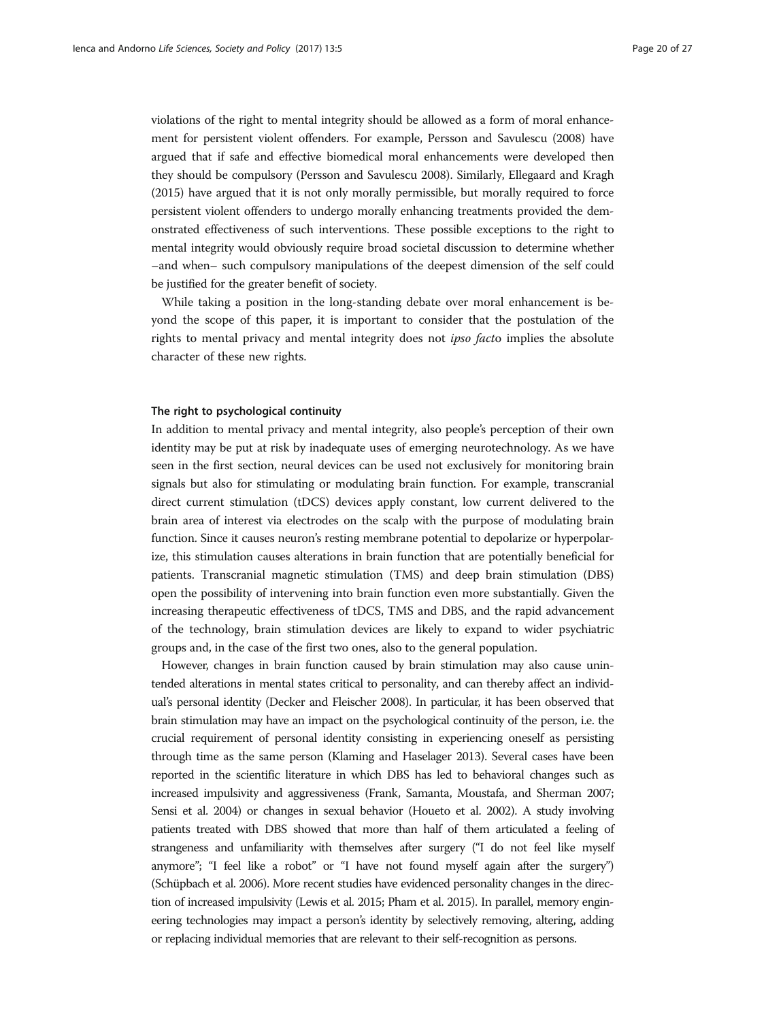violations of the right to mental integrity should be allowed as a form of moral enhancement for persistent violent offenders. For example, Persson and Savulescu ([2008](#page-26-0)) have argued that if safe and effective biomedical moral enhancements were developed then they should be compulsory (Persson and Savulescu [2008\)](#page-26-0). Similarly, Ellegaard and Kragh ([2015\)](#page-25-0) have argued that it is not only morally permissible, but morally required to force persistent violent offenders to undergo morally enhancing treatments provided the demonstrated effectiveness of such interventions. These possible exceptions to the right to mental integrity would obviously require broad societal discussion to determine whether –and when– such compulsory manipulations of the deepest dimension of the self could be justified for the greater benefit of society.

While taking a position in the long-standing debate over moral enhancement is beyond the scope of this paper, it is important to consider that the postulation of the rights to mental privacy and mental integrity does not ipso facto implies the absolute character of these new rights.

### The right to psychological continuity

In addition to mental privacy and mental integrity, also people's perception of their own identity may be put at risk by inadequate uses of emerging neurotechnology. As we have seen in the first section, neural devices can be used not exclusively for monitoring brain signals but also for stimulating or modulating brain function. For example, transcranial direct current stimulation (tDCS) devices apply constant, low current delivered to the brain area of interest via electrodes on the scalp with the purpose of modulating brain function. Since it causes neuron's resting membrane potential to depolarize or hyperpolarize, this stimulation causes alterations in brain function that are potentially beneficial for patients. Transcranial magnetic stimulation (TMS) and deep brain stimulation (DBS) open the possibility of intervening into brain function even more substantially. Given the increasing therapeutic effectiveness of tDCS, TMS and DBS, and the rapid advancement of the technology, brain stimulation devices are likely to expand to wider psychiatric groups and, in the case of the first two ones, also to the general population.

However, changes in brain function caused by brain stimulation may also cause unintended alterations in mental states critical to personality, and can thereby affect an individual's personal identity (Decker and Fleischer [2008](#page-25-0)). In particular, it has been observed that brain stimulation may have an impact on the psychological continuity of the person, i.e. the crucial requirement of personal identity consisting in experiencing oneself as persisting through time as the same person (Klaming and Haselager [2013\)](#page-25-0). Several cases have been reported in the scientific literature in which DBS has led to behavioral changes such as increased impulsivity and aggressiveness (Frank, Samanta, Moustafa, and Sherman [2007](#page-25-0); Sensi et al. [2004\)](#page-26-0) or changes in sexual behavior (Houeto et al. [2002](#page-25-0)). A study involving patients treated with DBS showed that more than half of them articulated a feeling of strangeness and unfamiliarity with themselves after surgery ("I do not feel like myself anymore"; "I feel like a robot" or "I have not found myself again after the surgery") (Schüpbach et al. [2006\)](#page-26-0). More recent studies have evidenced personality changes in the direction of increased impulsivity (Lewis et al. [2015;](#page-25-0) Pham et al. [2015\)](#page-26-0). In parallel, memory engineering technologies may impact a person's identity by selectively removing, altering, adding or replacing individual memories that are relevant to their self-recognition as persons.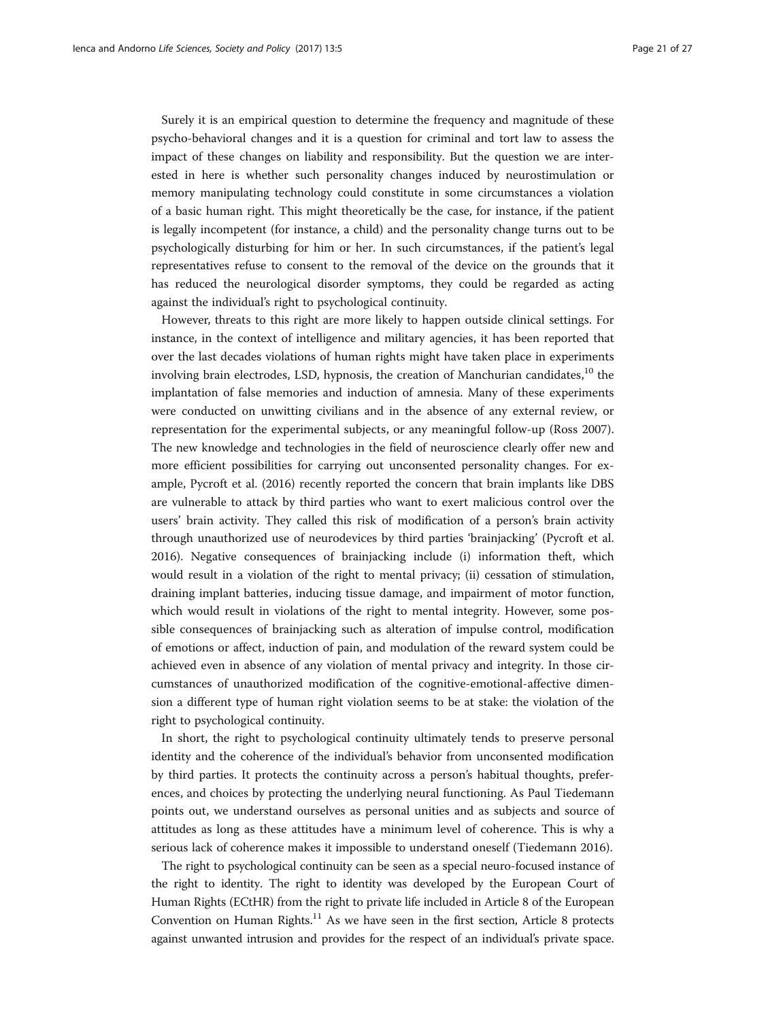Surely it is an empirical question to determine the frequency and magnitude of these psycho-behavioral changes and it is a question for criminal and tort law to assess the impact of these changes on liability and responsibility. But the question we are interested in here is whether such personality changes induced by neurostimulation or memory manipulating technology could constitute in some circumstances a violation of a basic human right. This might theoretically be the case, for instance, if the patient is legally incompetent (for instance, a child) and the personality change turns out to be psychologically disturbing for him or her. In such circumstances, if the patient's legal representatives refuse to consent to the removal of the device on the grounds that it has reduced the neurological disorder symptoms, they could be regarded as acting against the individual's right to psychological continuity.

However, threats to this right are more likely to happen outside clinical settings. For instance, in the context of intelligence and military agencies, it has been reported that over the last decades violations of human rights might have taken place in experiments involving brain electrodes, LSD, hypnosis, the creation of Manchurian candidates,<sup>10</sup> the implantation of false memories and induction of amnesia. Many of these experiments were conducted on unwitting civilians and in the absence of any external review, or representation for the experimental subjects, or any meaningful follow-up (Ross [2007](#page-26-0)). The new knowledge and technologies in the field of neuroscience clearly offer new and more efficient possibilities for carrying out unconsented personality changes. For example, Pycroft et al. ([2016](#page-26-0)) recently reported the concern that brain implants like DBS are vulnerable to attack by third parties who want to exert malicious control over the users' brain activity. They called this risk of modification of a person's brain activity through unauthorized use of neurodevices by third parties 'brainjacking' (Pycroft et al. [2016](#page-26-0)). Negative consequences of brainjacking include (i) information theft, which would result in a violation of the right to mental privacy; (ii) cessation of stimulation, draining implant batteries, inducing tissue damage, and impairment of motor function, which would result in violations of the right to mental integrity. However, some possible consequences of brainjacking such as alteration of impulse control, modification of emotions or affect, induction of pain, and modulation of the reward system could be achieved even in absence of any violation of mental privacy and integrity. In those circumstances of unauthorized modification of the cognitive-emotional-affective dimension a different type of human right violation seems to be at stake: the violation of the right to psychological continuity.

In short, the right to psychological continuity ultimately tends to preserve personal identity and the coherence of the individual's behavior from unconsented modification by third parties. It protects the continuity across a person's habitual thoughts, preferences, and choices by protecting the underlying neural functioning. As Paul Tiedemann points out, we understand ourselves as personal unities and as subjects and source of attitudes as long as these attitudes have a minimum level of coherence. This is why a serious lack of coherence makes it impossible to understand oneself (Tiedemann [2016](#page-26-0)).

The right to psychological continuity can be seen as a special neuro-focused instance of the right to identity. The right to identity was developed by the European Court of Human Rights (ECtHR) from the right to private life included in Article 8 of the European Convention on Human Rights. $^{11}$  As we have seen in the first section, Article 8 protects against unwanted intrusion and provides for the respect of an individual's private space.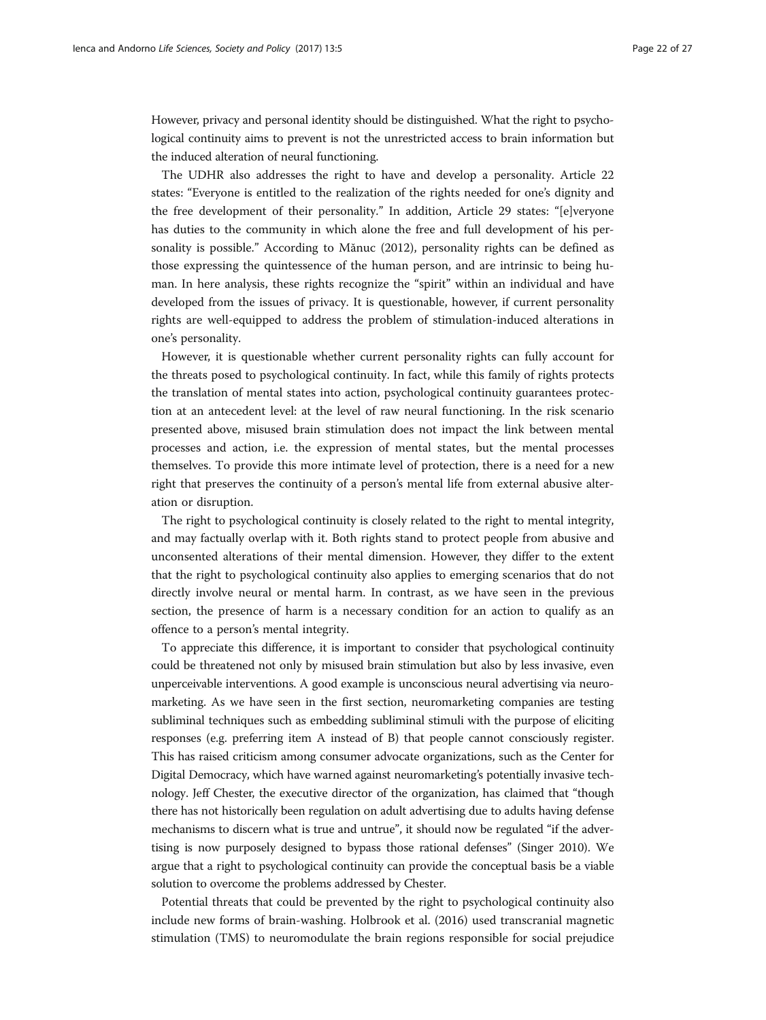However, privacy and personal identity should be distinguished. What the right to psychological continuity aims to prevent is not the unrestricted access to brain information but the induced alteration of neural functioning.

The UDHR also addresses the right to have and develop a personality. Article 22 states: "Everyone is entitled to the realization of the rights needed for one's dignity and the free development of their personality." In addition, Article 29 states: "[e]veryone has duties to the community in which alone the free and full development of his personality is possible." According to Mănuc [\(2012\)](#page-26-0), personality rights can be defined as those expressing the quintessence of the human person, and are intrinsic to being human. In here analysis, these rights recognize the "spirit" within an individual and have developed from the issues of privacy. It is questionable, however, if current personality rights are well-equipped to address the problem of stimulation-induced alterations in one's personality.

However, it is questionable whether current personality rights can fully account for the threats posed to psychological continuity. In fact, while this family of rights protects the translation of mental states into action, psychological continuity guarantees protection at an antecedent level: at the level of raw neural functioning. In the risk scenario presented above, misused brain stimulation does not impact the link between mental processes and action, i.e. the expression of mental states, but the mental processes themselves. To provide this more intimate level of protection, there is a need for a new right that preserves the continuity of a person's mental life from external abusive alteration or disruption.

The right to psychological continuity is closely related to the right to mental integrity, and may factually overlap with it. Both rights stand to protect people from abusive and unconsented alterations of their mental dimension. However, they differ to the extent that the right to psychological continuity also applies to emerging scenarios that do not directly involve neural or mental harm. In contrast, as we have seen in the previous section, the presence of harm is a necessary condition for an action to qualify as an offence to a person's mental integrity.

To appreciate this difference, it is important to consider that psychological continuity could be threatened not only by misused brain stimulation but also by less invasive, even unperceivable interventions. A good example is unconscious neural advertising via neuromarketing. As we have seen in the first section, neuromarketing companies are testing subliminal techniques such as embedding subliminal stimuli with the purpose of eliciting responses (e.g. preferring item A instead of B) that people cannot consciously register. This has raised criticism among consumer advocate organizations, such as the Center for Digital Democracy, which have warned against neuromarketing's potentially invasive technology. Jeff Chester, the executive director of the organization, has claimed that "though there has not historically been regulation on adult advertising due to adults having defense mechanisms to discern what is true and untrue", it should now be regulated "if the advertising is now purposely designed to bypass those rational defenses" (Singer [2010\)](#page-26-0). We argue that a right to psychological continuity can provide the conceptual basis be a viable solution to overcome the problems addressed by Chester.

Potential threats that could be prevented by the right to psychological continuity also include new forms of brain-washing. Holbrook et al. [\(2016\)](#page-25-0) used transcranial magnetic stimulation (TMS) to neuromodulate the brain regions responsible for social prejudice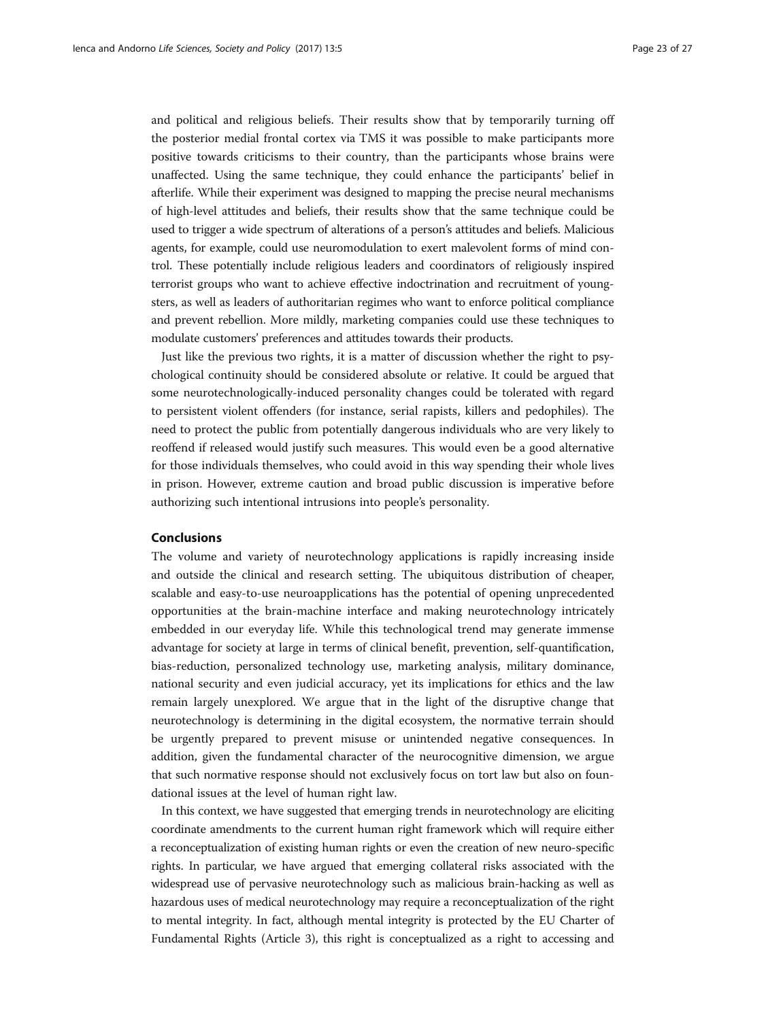and political and religious beliefs. Their results show that by temporarily turning off the posterior medial frontal cortex via TMS it was possible to make participants more positive towards criticisms to their country, than the participants whose brains were unaffected. Using the same technique, they could enhance the participants' belief in afterlife. While their experiment was designed to mapping the precise neural mechanisms of high-level attitudes and beliefs, their results show that the same technique could be used to trigger a wide spectrum of alterations of a person's attitudes and beliefs. Malicious agents, for example, could use neuromodulation to exert malevolent forms of mind control. These potentially include religious leaders and coordinators of religiously inspired terrorist groups who want to achieve effective indoctrination and recruitment of youngsters, as well as leaders of authoritarian regimes who want to enforce political compliance and prevent rebellion. More mildly, marketing companies could use these techniques to modulate customers' preferences and attitudes towards their products.

Just like the previous two rights, it is a matter of discussion whether the right to psychological continuity should be considered absolute or relative. It could be argued that some neurotechnologically-induced personality changes could be tolerated with regard to persistent violent offenders (for instance, serial rapists, killers and pedophiles). The need to protect the public from potentially dangerous individuals who are very likely to reoffend if released would justify such measures. This would even be a good alternative for those individuals themselves, who could avoid in this way spending their whole lives in prison. However, extreme caution and broad public discussion is imperative before authorizing such intentional intrusions into people's personality.

### Conclusions

The volume and variety of neurotechnology applications is rapidly increasing inside and outside the clinical and research setting. The ubiquitous distribution of cheaper, scalable and easy-to-use neuroapplications has the potential of opening unprecedented opportunities at the brain-machine interface and making neurotechnology intricately embedded in our everyday life. While this technological trend may generate immense advantage for society at large in terms of clinical benefit, prevention, self-quantification, bias-reduction, personalized technology use, marketing analysis, military dominance, national security and even judicial accuracy, yet its implications for ethics and the law remain largely unexplored. We argue that in the light of the disruptive change that neurotechnology is determining in the digital ecosystem, the normative terrain should be urgently prepared to prevent misuse or unintended negative consequences. In addition, given the fundamental character of the neurocognitive dimension, we argue that such normative response should not exclusively focus on tort law but also on foundational issues at the level of human right law.

In this context, we have suggested that emerging trends in neurotechnology are eliciting coordinate amendments to the current human right framework which will require either a reconceptualization of existing human rights or even the creation of new neuro-specific rights. In particular, we have argued that emerging collateral risks associated with the widespread use of pervasive neurotechnology such as malicious brain-hacking as well as hazardous uses of medical neurotechnology may require a reconceptualization of the right to mental integrity. In fact, although mental integrity is protected by the EU Charter of Fundamental Rights (Article 3), this right is conceptualized as a right to accessing and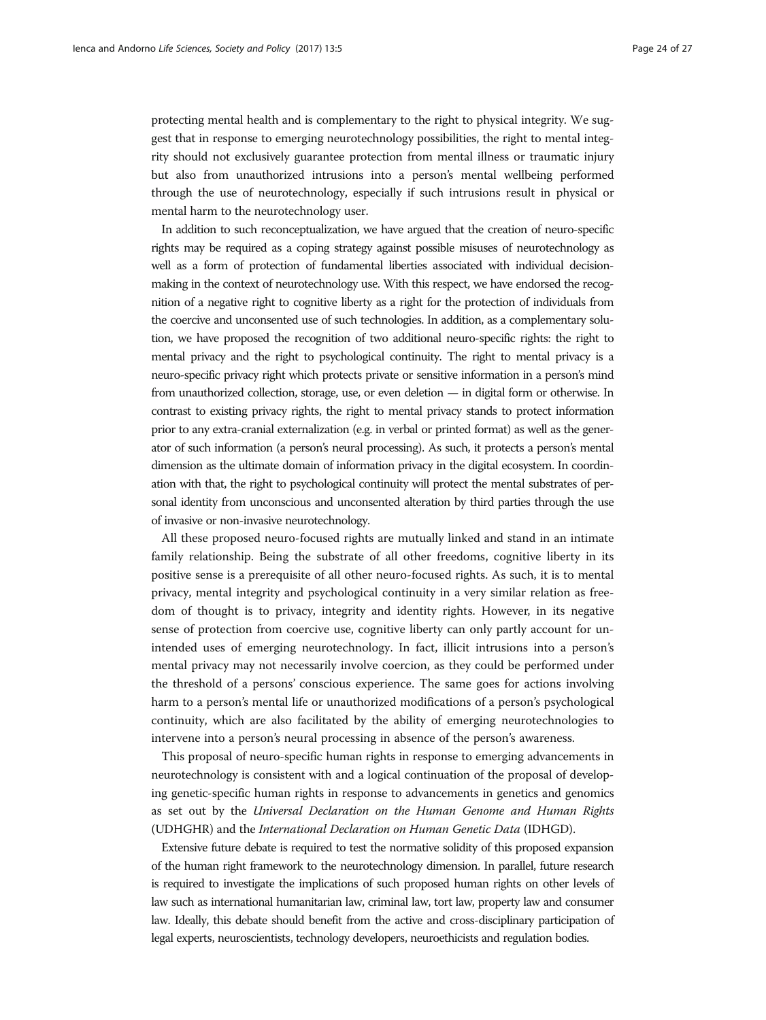protecting mental health and is complementary to the right to physical integrity. We suggest that in response to emerging neurotechnology possibilities, the right to mental integrity should not exclusively guarantee protection from mental illness or traumatic injury but also from unauthorized intrusions into a person's mental wellbeing performed through the use of neurotechnology, especially if such intrusions result in physical or mental harm to the neurotechnology user.

In addition to such reconceptualization, we have argued that the creation of neuro-specific rights may be required as a coping strategy against possible misuses of neurotechnology as well as a form of protection of fundamental liberties associated with individual decisionmaking in the context of neurotechnology use. With this respect, we have endorsed the recognition of a negative right to cognitive liberty as a right for the protection of individuals from the coercive and unconsented use of such technologies. In addition, as a complementary solution, we have proposed the recognition of two additional neuro-specific rights: the right to mental privacy and the right to psychological continuity. The right to mental privacy is a neuro-specific privacy right which protects private or sensitive information in a person's mind from unauthorized collection, storage, use, or even deletion — in digital form or otherwise. In contrast to existing privacy rights, the right to mental privacy stands to protect information prior to any extra-cranial externalization (e.g. in verbal or printed format) as well as the generator of such information (a person's neural processing). As such, it protects a person's mental dimension as the ultimate domain of information privacy in the digital ecosystem. In coordination with that, the right to psychological continuity will protect the mental substrates of personal identity from unconscious and unconsented alteration by third parties through the use of invasive or non-invasive neurotechnology.

All these proposed neuro-focused rights are mutually linked and stand in an intimate family relationship. Being the substrate of all other freedoms, cognitive liberty in its positive sense is a prerequisite of all other neuro-focused rights. As such, it is to mental privacy, mental integrity and psychological continuity in a very similar relation as freedom of thought is to privacy, integrity and identity rights. However, in its negative sense of protection from coercive use, cognitive liberty can only partly account for unintended uses of emerging neurotechnology. In fact, illicit intrusions into a person's mental privacy may not necessarily involve coercion, as they could be performed under the threshold of a persons' conscious experience. The same goes for actions involving harm to a person's mental life or unauthorized modifications of a person's psychological continuity, which are also facilitated by the ability of emerging neurotechnologies to intervene into a person's neural processing in absence of the person's awareness.

This proposal of neuro-specific human rights in response to emerging advancements in neurotechnology is consistent with and a logical continuation of the proposal of developing genetic-specific human rights in response to advancements in genetics and genomics as set out by the Universal Declaration on the Human Genome and Human Rights (UDHGHR) and the International Declaration on Human Genetic Data (IDHGD).

Extensive future debate is required to test the normative solidity of this proposed expansion of the human right framework to the neurotechnology dimension. In parallel, future research is required to investigate the implications of such proposed human rights on other levels of law such as international humanitarian law, criminal law, tort law, property law and consumer law. Ideally, this debate should benefit from the active and cross-disciplinary participation of legal experts, neuroscientists, technology developers, neuroethicists and regulation bodies.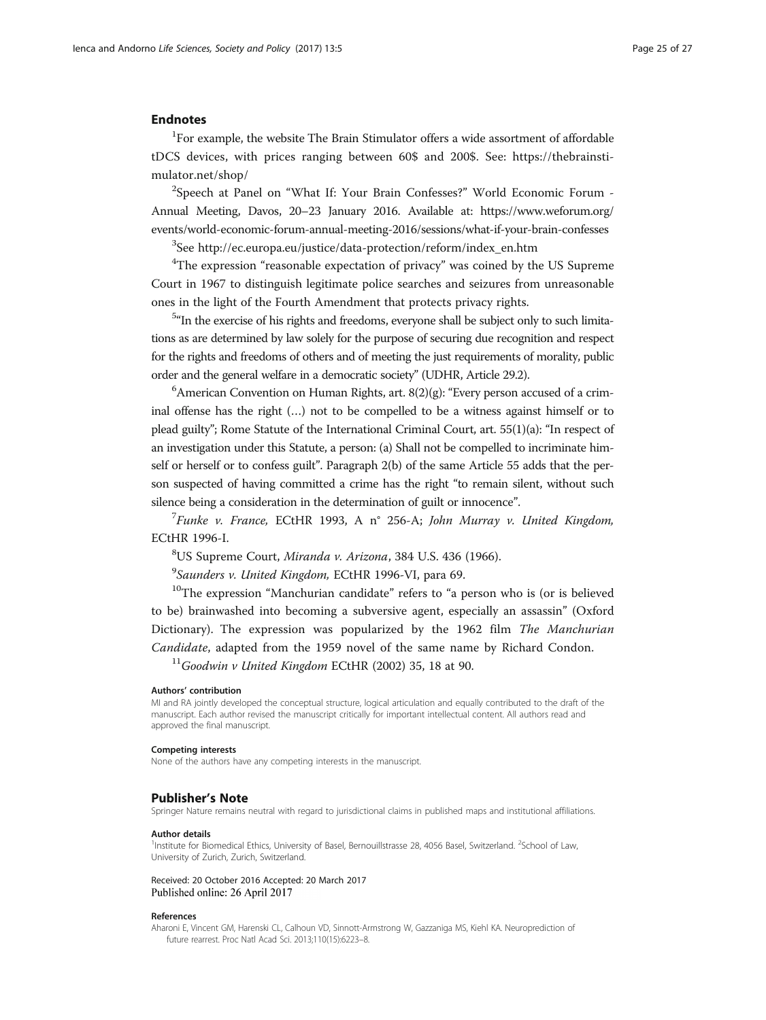### <span id="page-24-0"></span>**Endnotes**

<sup>1</sup>For example, the website The Brain Stimulator offers a wide assortment of affordable tDCS devices, with prices ranging between 60\$ and 200\$. See: [https://thebrainsti](https://thebrainstimulator.net/shop/)[mulator.net/shop/](https://thebrainstimulator.net/shop/)

<sup>2</sup>Speech at Panel on "What If: Your Brain Confesses?" World Economic Forum -Annual Meeting, Davos, 20–23 January 2016. Available at: [https://www.weforum.org/](https://www.weforum.org/events/world-economic-forum-annual-meeting-2016/sessions/what-if-your-brain-confesse) [events/world-economic-forum-annual-meeting-2016/sessions/what-if-your-brain-confesses](https://www.weforum.org/events/world-economic-forum-annual-meeting-2016/sessions/what-if-your-brain-confesse)

3 See [http://ec.europa.eu/justice/data-protection/reform/index\\_en.htm](http://ec.europa.eu/justice/data-protection/reform/index_en.htm)

<sup>4</sup>The expression "reasonable expectation of privacy" was coined by the US Supreme Court in 1967 to distinguish legitimate police searches and seizures from unreasonable ones in the light of the Fourth Amendment that protects privacy rights.

<sup>5</sup>"In the exercise of his rights and freedoms, everyone shall be subject only to such limitations as are determined by law solely for the purpose of securing due recognition and respect for the rights and freedoms of others and of meeting the just requirements of morality, public order and the general welfare in a democratic society" (UDHR, Article 29.2).

 $^6$ American Convention on Human Rights, art. 8(2)(g): "Every person accused of a criminal offense has the right (…) not to be compelled to be a witness against himself or to plead guilty"; Rome Statute of the International Criminal Court, art. 55(1)(a): "In respect of an investigation under this Statute, a person: (a) Shall not be compelled to incriminate himself or herself or to confess guilt". Paragraph 2(b) of the same Article 55 adds that the person suspected of having committed a crime has the right "to remain silent, without such silence being a consideration in the determination of guilt or innocence".

 $^{7}$ Funke v. France, ECtHR 1993, A n° 256-A; John Murray v. United Kingdom, ECtHR 1996-I.

<sup>8</sup>US Supreme Court, Miranda v. Arizona, 384 U.S. 436 (1966).

<sup>9</sup>Saunders v. United Kingdom, ECtHR 1996-VI, para 69.

<sup>10</sup>The expression "Manchurian candidate" refers to "a person who is (or is believed to be) brainwashed into becoming a subversive agent, especially an assassin" (Oxford Dictionary). The expression was popularized by the 1962 film The Manchurian Candidate, adapted from the 1959 novel of the same name by Richard Condon.

 $11$ Goodwin v United Kingdom ECtHR (2002) 35, 18 at 90.

### Authors' contribution

MI and RA jointly developed the conceptual structure, logical articulation and equally contributed to the draft of the manuscript. Each author revised the manuscript critically for important intellectual content. All authors read and approved the final manuscript.

### Competing interests

None of the authors have any competing interests in the manuscript.

### Publisher's Note

Springer Nature remains neutral with regard to jurisdictional claims in published maps and institutional affiliations.

### Author details

<sup>1</sup>Institute for Biomedical Ethics, University of Basel, Bernouillstrasse 28, 4056 Basel, Switzerland. <sup>2</sup>School of Law, University of Zurich, Zurich, Switzerland.

Received: 20 October 2016 Accepted: 20 March 2017 Published online: 26 April 2017

### References

Aharoni E, Vincent GM, Harenski CL, Calhoun VD, Sinnott-Armstrong W, Gazzaniga MS, Kiehl KA. Neuroprediction of future rearrest. Proc Natl Acad Sci. 2013;110(15):6223–8.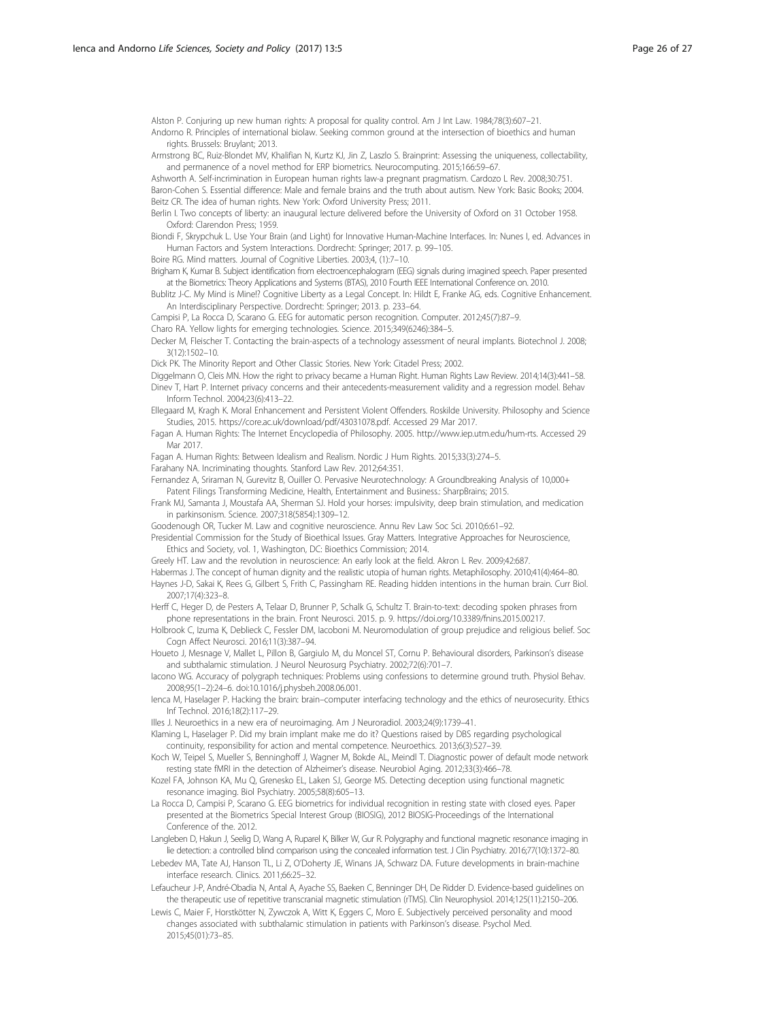<span id="page-25-0"></span>Andorno R. Principles of international biolaw. Seeking common ground at the intersection of bioethics and human rights. Brussels: Bruylant; 2013.

Armstrong BC, Ruiz-Blondet MV, Khalifian N, Kurtz KJ, Jin Z, Laszlo S. Brainprint: Assessing the uniqueness, collectability, and permanence of a novel method for ERP biometrics. Neurocomputing. 2015;166:59–67.

Ashworth A. Self-incrimination in European human rights law-a pregnant pragmatism. Cardozo L Rev. 2008;30:751. Baron-Cohen S. Essential difference: Male and female brains and the truth about autism. New York: Basic Books; 2004. Beitz CR. The idea of human rights. New York: Oxford University Press; 2011.

Berlin I. Two concepts of liberty: an inaugural lecture delivered before the University of Oxford on 31 October 1958. Oxford: Clarendon Press; 1959.

Biondi F, Skrypchuk L. Use Your Brain (and Light) for Innovative Human-Machine Interfaces. In: Nunes I, ed. Advances in Human Factors and System Interactions. Dordrecht: Springer; 2017. p. 99–105.

Boire RG. Mind matters. Journal of Cognitive Liberties. 2003;4, (1):7–10.

Brigham K, Kumar B. Subject identification from electroencephalogram (EEG) signals during imagined speech. Paper presented at the Biometrics: Theory Applications and Systems (BTAS), 2010 Fourth IEEE International Conference on. 2010.

Bublitz J-C. My Mind is Mine!? Cognitive Liberty as a Legal Concept. In: Hildt E, Franke AG, eds. Cognitive Enhancement. An Interdisciplinary Perspective. Dordrecht: Springer; 2013. p. 233–64.

Campisi P, La Rocca D, Scarano G. EEG for automatic person recognition. Computer. 2012;45(7):87–9.

Charo RA. Yellow lights for emerging technologies. Science. 2015;349(6246):384–5.

Decker M, Fleischer T. Contacting the brain-aspects of a technology assessment of neural implants. Biotechnol J. 2008; 3(12):1502–10.

Dick PK. The Minority Report and Other Classic Stories. New York: Citadel Press; 2002.

Diggelmann O, Cleis MN. How the right to privacy became a Human Right. Human Rights Law Review. 2014;14(3):441–58. Dinev T, Hart P. Internet privacy concerns and their antecedents-measurement validity and a regression model. Behav Inform Technol. 2004;23(6):413–22.

Ellegaard M, Kragh K. Moral Enhancement and Persistent Violent Offenders. Roskilde University. Philosophy and Science Studies, 2015. [https://core.ac.uk/download/pdf/43031078.pdf.](https://core.ac.uk/download/pdf/43031078.pdf) Accessed 29 Mar 2017.

Fagan A. Human Rights: The Internet Encyclopedia of Philosophy. 2005.<http://www.iep.utm.edu/hum-rts>. Accessed 29 Mar 2017.

Fagan A. Human Rights: Between Idealism and Realism. Nordic J Hum Rights. 2015;33(3):274–5. Farahany NA. Incriminating thoughts. Stanford Law Rev. 2012;64:351.

Fernandez A, Sriraman N, Gurevitz B, Ouiller O. Pervasive Neurotechnology: A Groundbreaking Analysis of 10,000+ Patent Filings Transforming Medicine, Health, Entertainment and Business.: SharpBrains; 2015.

Frank MJ, Samanta J, Moustafa AA, Sherman SJ. Hold your horses: impulsivity, deep brain stimulation, and medication in parkinsonism. Science. 2007;318(5854):1309–12.

Goodenough OR, Tucker M. Law and cognitive neuroscience. Annu Rev Law Soc Sci. 2010;6:61–92.

Presidential Commission for the Study of Bioethical Issues. Gray Matters. Integrative Approaches for Neuroscience, Ethics and Society, vol. 1, Washington, DC: Bioethics Commission; 2014.

Greely HT. Law and the revolution in neuroscience: An early look at the field. Akron L Rev. 2009;42:687.

Habermas J. The concept of human dignity and the realistic utopia of human rights. Metaphilosophy. 2010;41(4):464–80. Haynes J-D, Sakai K, Rees G, Gilbert S, Frith C, Passingham RE. Reading hidden intentions in the human brain. Curr Biol. 2007;17(4):323–8.

Herff C, Heger D, de Pesters A, Telaar D, Brunner P, Schalk G, Schultz T. Brain-to-text: decoding spoken phrases from phone representations in the brain. Front Neurosci. 2015. p. 9. [https://doi.org/10.3389/fnins.2015.00217.](https://doi.org/10.3389/fnins.2015.00217)

Holbrook C, Izuma K, Deblieck C, Fessler DM, Iacoboni M. Neuromodulation of group prejudice and religious belief. Soc Cogn Affect Neurosci. 2016;11(3):387–94.

Houeto J, Mesnage V, Mallet L, Pillon B, Gargiulo M, du Moncel ST, Cornu P. Behavioural disorders, Parkinson's disease and subthalamic stimulation. J Neurol Neurosurg Psychiatry. 2002;72(6):701-7.

Iacono WG. Accuracy of polygraph techniques: Problems using confessions to determine ground truth. Physiol Behav. 2008;95(1–2):24–6. doi:[10.1016/j.physbeh.2008.06.001](http://dx.doi.org/10.1016/j.physbeh.2008.06.001).

Ienca M, Haselager P. Hacking the brain: brain–computer interfacing technology and the ethics of neurosecurity. Ethics Inf Technol. 2016;18(2):117–29.

Illes J. Neuroethics in a new era of neuroimaging. Am J Neuroradiol. 2003;24(9):1739–41.

Klaming L, Haselager P. Did my brain implant make me do it? Questions raised by DBS regarding psychological continuity, responsibility for action and mental competence. Neuroethics. 2013;6(3):527–39.

Koch W, Teipel S, Mueller S, Benninghoff J, Wagner M, Bokde AL, Meindl T. Diagnostic power of default mode network resting state fMRI in the detection of Alzheimer's disease. Neurobiol Aging. 2012;33(3):466–78.

Kozel FA, Johnson KA, Mu Q, Grenesko EL, Laken SJ, George MS. Detecting deception using functional magnetic resonance imaging. Biol Psychiatry. 2005;58(8):605–13.

La Rocca D, Campisi P, Scarano G. EEG biometrics for individual recognition in resting state with closed eyes. Paper presented at the Biometrics Special Interest Group (BIOSIG), 2012 BIOSIG-Proceedings of the International Conference of the. 2012.

Langleben D, Hakun J, Seelig D, Wang A, Ruparel K, Bilker W, Gur R. Polygraphy and functional magnetic resonance imaging in lie detection: a controlled blind comparison using the concealed information test. J Clin Psychiatry. 2016;77(10):1372–80.

Lebedev MA, Tate AJ, Hanson TL, Li Z, O'Doherty JE, Winans JA, Schwarz DA. Future developments in brain-machine interface research. Clinics. 2011;66:25–32.

Lefaucheur J-P, André-Obadia N, Antal A, Ayache SS, Baeken C, Benninger DH, De Ridder D. Evidence-based guidelines on the therapeutic use of repetitive transcranial magnetic stimulation (rTMS). Clin Neurophysiol. 2014;125(11):2150–206.

Lewis C, Maier F, Horstkötter N, Zywczok A, Witt K, Eggers C, Moro E. Subjectively perceived personality and mood changes associated with subthalamic stimulation in patients with Parkinson's disease. Psychol Med. 2015;45(01):73–85.